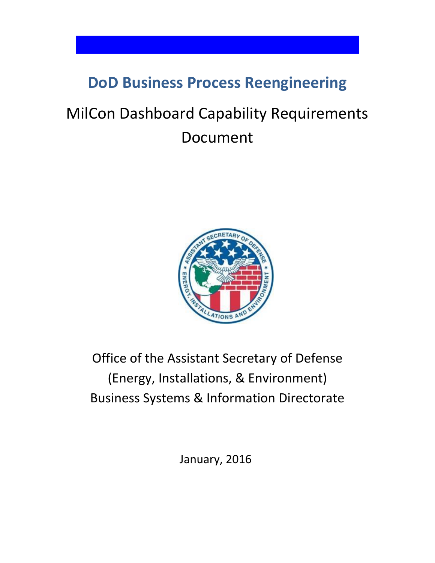# **DoD Business Process Reengineering**

# MilCon Dashboard Capability Requirements Document



# Office of the Assistant Secretary of Defense (Energy, Installations, & Environment) Business Systems & Information Directorate

January, 2016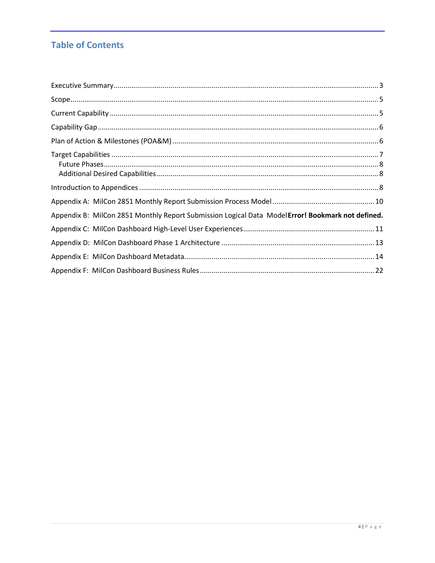# **Table of Contents**

| Appendix B: MilCon 2851 Monthly Report Submission Logical Data ModelError! Bookmark not defined. |  |
|--------------------------------------------------------------------------------------------------|--|
|                                                                                                  |  |
|                                                                                                  |  |
|                                                                                                  |  |
|                                                                                                  |  |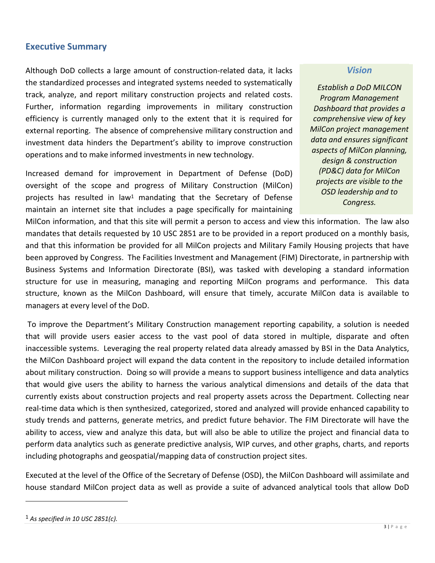## <span id="page-2-0"></span>**Executive Summary**

Although DoD collects a large amount of construction-related data, it lacks the standardized processes and integrated systems needed to systematically track, analyze, and report military construction projects and related costs. Further, information regarding improvements in military construction efficiency is currently managed only to the extent that it is required for external reporting. The absence of comprehensive military construction and investment data hinders the Department's ability to improve construction operations and to make informed investments in new technology.

Increased demand for improvement in Department of Defense (DoD) oversight of the scope and progress of Military Construction (MilCon) projects has resulted in law<sup>1</sup> mandating that the Secretary of Defense maintain an internet site that includes a page specifically for maintaining

#### *Vision*

*Establish a DoD MILCON Program Management Dashboard that provides a comprehensive view of key MilCon project management data and ensures significant aspects of MilCon planning, design & construction (PD&C) data for MilCon projects are visible to the OSD leadership and to Congress.*

MilCon information, and that this site will permit a person to access and view this information. The law also mandates that details requested by 10 USC 2851 are to be provided in a report produced on a monthly basis, and that this information be provided for all MilCon projects and Military Family Housing projects that have been approved by Congress. The Facilities Investment and Management (FIM) Directorate, in partnership with Business Systems and Information Directorate (BSI), was tasked with developing a standard information structure for use in measuring, managing and reporting MilCon programs and performance. This data structure, known as the MilCon Dashboard, will ensure that timely, accurate MilCon data is available to managers at every level of the DoD.

To improve the Department's Military Construction management reporting capability, a solution is needed that will provide users easier access to the vast pool of data stored in multiple, disparate and often inaccessible systems. Leveraging the real property related data already amassed by BSI in the Data Analytics, the MilCon Dashboard project will expand the data content in the repository to include detailed information about military construction. Doing so will provide a means to support business intelligence and data analytics that would give users the ability to harness the various analytical dimensions and details of the data that currently exists about construction projects and real property assets across the Department. Collecting near real-time data which is then synthesized, categorized, stored and analyzed will provide enhanced capability to study trends and patterns, generate metrics, and predict future behavior. The FIM Directorate will have the ability to access, view and analyze this data, but will also be able to utilize the project and financial data to perform data analytics such as generate predictive analysis, WIP curves, and other graphs, charts, and reports including photographs and geospatial/mapping data of construction project sites.

Executed at the level of the Office of the Secretary of Defense (OSD), the MilCon Dashboard will assimilate and house standard MilCon project data as well as provide a suite of advanced analytical tools that allow DoD

 $\overline{a}$ 

<sup>1</sup> *As specified in 10 USC 2851(c).*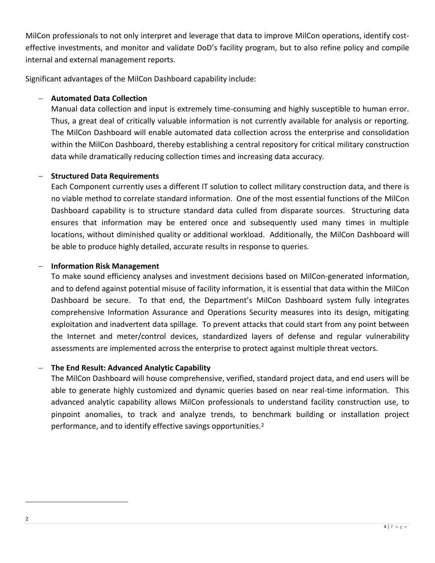MilCon professionals to not only interpret and leverage that data to improve MilCon operations, identify costeffective investments, and monitor and validate DoD's facility program, but to also refine policy and compile internal and external management reports.

Significant advantages of the MilCon Dashboard capability include:

## **Automated Data Collection**

Manual data collection and input is extremely time-consuming and highly susceptible to human error. Thus, a great deal of critically valuable information is not currently available for analysis or reporting. The MilCon Dashboard will enable automated data collection across the enterprise and consolidation within the MilCon Dashboard, thereby establishing a central repository for critical military construction data while dramatically reducing collection times and increasing data accuracy.

#### **Structured Data Requirements**

Each Component currently uses a different IT solution to collect military construction data, and there is no viable method to correlate standard information. One of the most essential functions of the MilCon Dashboard capability is to structure standard data culled from disparate sources. Structuring data ensures that information may be entered once and subsequently used many times in multiple locations, without diminished quality or additional workload. Additionally, the MilCon Dashboard will be able to produce highly detailed, accurate results in response to queries.

#### **Information Risk Management**

To make sound efficiency analyses and investment decisions based on MilCon-generated information, and to defend against potential misuse of facility information, it is essential that data within the MilCon Dashboard be secure. To that end, the Department's MilCon Dashboard system fully integrates comprehensive Information Assurance and Operations Security measures into its design, mitigating exploitation and inadvertent data spillage. To prevent attacks that could start from any point between the Internet and meter/control devices, standardized layers of defense and regular vulnerability assessments are implemented across the enterprise to protect against multiple threat vectors.

#### **The End Result: Advanced Analytic Capability**

The MilCon Dashboard will house comprehensive, verified, standard project data, and end users will be able to generate highly customized and dynamic queries based on near real-time information. This advanced analytic capability allows MilCon professionals to understand facility construction use, to pinpoint anomalies, to track and analyze trends, to benchmark building or installation project performance, and to identify effective savings opportunities.<sup>2</sup>

 $\overline{\phantom{a}}$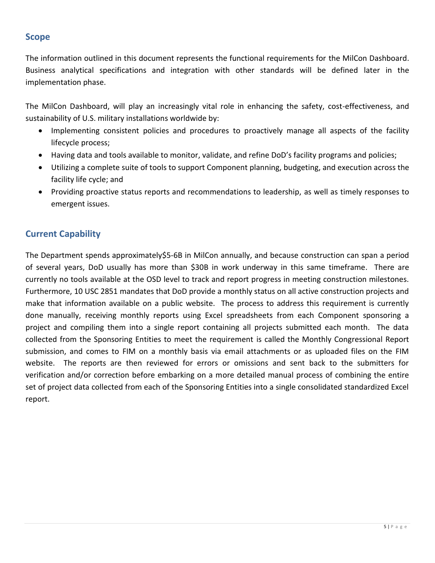# <span id="page-4-0"></span>**Scope**

The information outlined in this document represents the functional requirements for the MilCon Dashboard. Business analytical specifications and integration with other standards will be defined later in the implementation phase.

The MilCon Dashboard, will play an increasingly vital role in enhancing the safety, cost-effectiveness, and sustainability of U.S. military installations worldwide by:

- Implementing consistent policies and procedures to proactively manage all aspects of the facility lifecycle process;
- Having data and tools available to monitor, validate, and refine DoD's facility programs and policies;
- Utilizing a complete suite of tools to support Component planning, budgeting, and execution across the facility life cycle; and
- Providing proactive status reports and recommendations to leadership, as well as timely responses to emergent issues.

# <span id="page-4-1"></span>**Current Capability**

The Department spends approximately\$5-6B in MilCon annually, and because construction can span a period of several years, DoD usually has more than \$30B in work underway in this same timeframe. There are currently no tools available at the OSD level to track and report progress in meeting construction milestones. Furthermore, 10 USC 2851 mandates that DoD provide a monthly status on all active construction projects and make that information available on a public website. The process to address this requirement is currently done manually, receiving monthly reports using Excel spreadsheets from each Component sponsoring a project and compiling them into a single report containing all projects submitted each month. The data collected from the Sponsoring Entities to meet the requirement is called the Monthly Congressional Report submission, and comes to FIM on a monthly basis via email attachments or as uploaded files on the FIM website. The reports are then reviewed for errors or omissions and sent back to the submitters for verification and/or correction before embarking on a more detailed manual process of combining the entire set of project data collected from each of the Sponsoring Entities into a single consolidated standardized Excel report.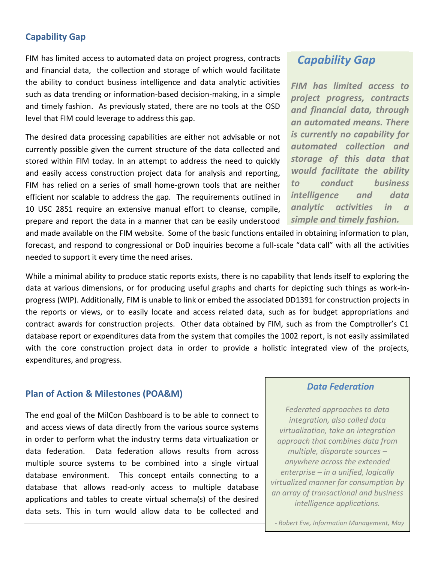## <span id="page-5-0"></span>**Capability Gap**

FIM has limited access to automated data on project progress, contracts and financial data, the collection and storage of which would facilitate the ability to conduct business intelligence and data analytic activities such as data trending or information-based decision-making, in a simple and timely fashion. As previously stated, there are no tools at the OSD level that FIM could leverage to address this gap.

The desired data processing capabilities are either not advisable or not currently possible given the current structure of the data collected and stored within FIM today. In an attempt to address the need to quickly and easily access construction project data for analysis and reporting, FIM has relied on a series of small home-grown tools that are neither efficient nor scalable to address the gap. The requirements outlined in 10 USC 2851 require an extensive manual effort to cleanse, compile, prepare and report the data in a manner that can be easily understood

and made available on the FIM website. Some of the basic functions entailed in obtaining information to plan, forecast, and respond to congressional or DoD inquiries become a full-scale "data call" with all the activities needed to support it every time the need arises.

While a minimal ability to produce static reports exists, there is no capability that lends itself to exploring the data at various dimensions, or for producing useful graphs and charts for depicting such things as work-inprogress (WIP). Additionally, FIM is unable to link or embed the associated DD1391 for construction projects in the reports or views, or to easily locate and access related data, such as for budget appropriations and contract awards for construction projects. Other data obtained by FIM, such as from the Comptroller's C1 database report or expenditures data from the system that compiles the 1002 report, is not easily assimilated with the core construction project data in order to provide a holistic integrated view of the projects, expenditures, and progress.

#### <span id="page-5-1"></span>**Plan of Action & Milestones (POA&M)**

The end goal of the MilCon Dashboard is to be able to connect to and access views of data directly from the various source systems in order to perform what the industry terms data virtualization or data federation. Data federation allows results from across multiple source systems to be combined into a single virtual database environment. This concept entails connecting to a database that allows read-only access to multiple database applications and tables to create virtual schema(s) of the desired data sets. This in turn would allow data to be collected and

# *Capability Gap*

*FIM has limited access to project progress, contracts and financial data, through an automated means. There is currently no capability for automated collection and storage of this data that would facilitate the ability to conduct business intelligence and data analytic activities in a simple and timely fashion.* 

## *Data Federation*

*Federated approaches to data integration, also called data virtualization, take an integration approach that combines data from multiple, disparate sources – anywhere across the extended enterprise – in a unified, logically virtualized manner for consumption by an array of transactional and business intelligence applications.*

6 | P a g e *- Robert Eve, Information Management, May* 

*6, 2010*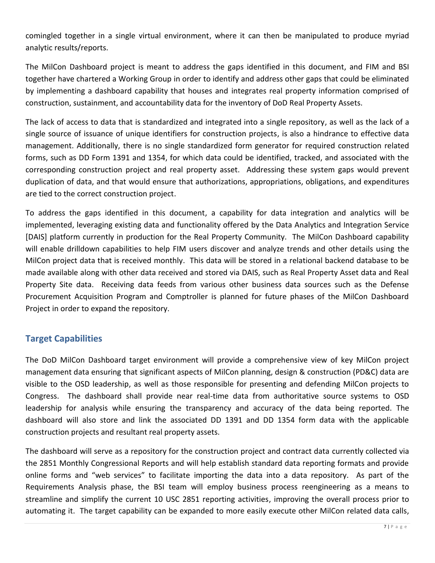comingled together in a single virtual environment, where it can then be manipulated to produce myriad analytic results/reports.

The MilCon Dashboard project is meant to address the gaps identified in this document, and FIM and BSI together have chartered a Working Group in order to identify and address other gaps that could be eliminated by implementing a dashboard capability that houses and integrates real property information comprised of construction, sustainment, and accountability data for the inventory of DoD Real Property Assets.

The lack of access to data that is standardized and integrated into a single repository, as well as the lack of a single source of issuance of unique identifiers for construction projects, is also a hindrance to effective data management. Additionally, there is no single standardized form generator for required construction related forms, such as DD Form 1391 and 1354, for which data could be identified, tracked, and associated with the corresponding construction project and real property asset. Addressing these system gaps would prevent duplication of data, and that would ensure that authorizations, appropriations, obligations, and expenditures are tied to the correct construction project.

To address the gaps identified in this document, a capability for data integration and analytics will be implemented, leveraging existing data and functionality offered by the Data Analytics and Integration Service [DAIS] platform currently in production for the Real Property Community. The MilCon Dashboard capability will enable drilldown capabilities to help FIM users discover and analyze trends and other details using the MilCon project data that is received monthly. This data will be stored in a relational backend database to be made available along with other data received and stored via DAIS, such as Real Property Asset data and Real Property Site data. Receiving data feeds from various other business data sources such as the Defense Procurement Acquisition Program and Comptroller is planned for future phases of the MilCon Dashboard Project in order to expand the repository.

## <span id="page-6-0"></span>**Target Capabilities**

The DoD MilCon Dashboard target environment will provide a comprehensive view of key MilCon project management data ensuring that significant aspects of MilCon planning, design & construction (PD&C) data are visible to the OSD leadership, as well as those responsible for presenting and defending MilCon projects to Congress. The dashboard shall provide near real-time data from authoritative source systems to OSD leadership for analysis while ensuring the transparency and accuracy of the data being reported. The dashboard will also store and link the associated DD 1391 and DD 1354 form data with the applicable construction projects and resultant real property assets.

The dashboard will serve as a repository for the construction project and contract data currently collected via the 2851 Monthly Congressional Reports and will help establish standard data reporting formats and provide online forms and "web services" to facilitate importing the data into a data repository. As part of the Requirements Analysis phase, the BSI team will employ business process reengineering as a means to streamline and simplify the current 10 USC 2851 reporting activities, improving the overall process prior to automating it. The target capability can be expanded to more easily execute other MilCon related data calls,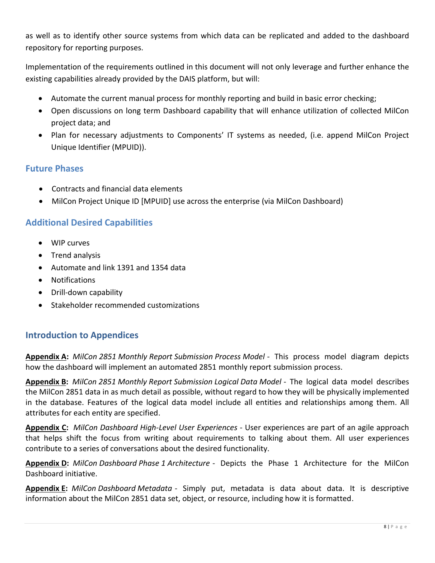as well as to identify other source systems from which data can be replicated and added to the dashboard repository for reporting purposes.

Implementation of the requirements outlined in this document will not only leverage and further enhance the existing capabilities already provided by the DAIS platform, but will:

- Automate the current manual process for monthly reporting and build in basic error checking;
- Open discussions on long term Dashboard capability that will enhance utilization of collected MilCon project data; and
- Plan for necessary adjustments to Components' IT systems as needed, (i.e. append MilCon Project Unique Identifier (MPUID)).

## <span id="page-7-0"></span>**Future Phases**

- Contracts and financial data elements
- MilCon Project Unique ID [MPUID] use across the enterprise (via MilCon Dashboard)

# <span id="page-7-1"></span>**Additional Desired Capabilities**

- WIP curves
- Trend analysis
- Automate and link 1391 and 1354 data
- Notifications
- Drill-down capability
- Stakeholder recommended customizations

# <span id="page-7-2"></span>**Introduction to Appendices**

**Appendix A:** *MilCon 2851 Monthly Report Submission Process Model* - This process model diagram depicts how the dashboard will implement an automated 2851 monthly report submission process.

**Appendix B:** *MilCon 2851 Monthly Report Submission Logical Data Model* - The logical data model describes the MilCon 2851 data in as much detail as possible, without regard to how they will be physically implemented in the database. Features of the logical data model include all entities and relationships among them. All attributes for each entity are specified.

**Appendix C:** *MilCon Dashboard High-Level User Experiences* - User experiences are part of an agile approach that helps shift the focus from writing about requirements to talking about them. All user experiences contribute to a series of conversations about the desired functionality.

**Appendix D:** *MilCon Dashboard Phase 1 Architecture* - Depicts the Phase 1 Architecture for the MilCon Dashboard initiative.

**Appendix E:** *MilCon Dashboard Metadata* - Simply put, metadata is data about data. It is descriptive information about the MilCon 2851 data set, object, or resource, including how it is formatted.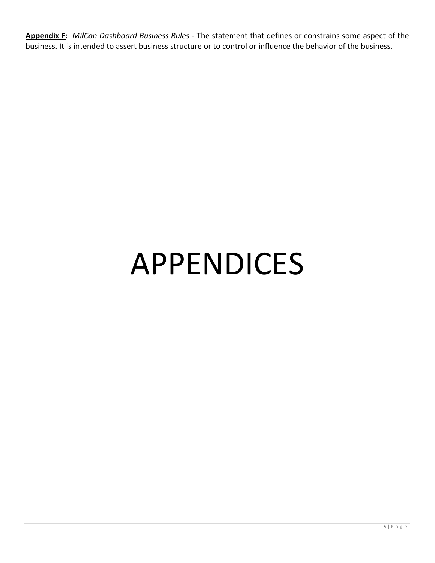**Appendix F:** *MilCon Dashboard Business Rules* - The statement that defines or constrains some aspect of the business. It is intended to assert business structure or to control or influence the behavior of the business.

# APPENDICES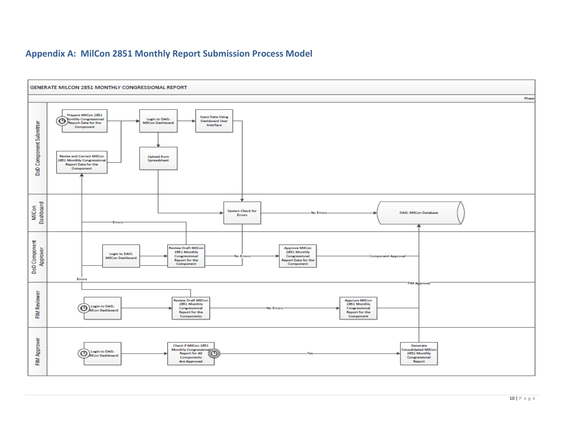# **Appendix A: MilCon 2851 Monthly Report Submission Process Model**

<span id="page-9-0"></span>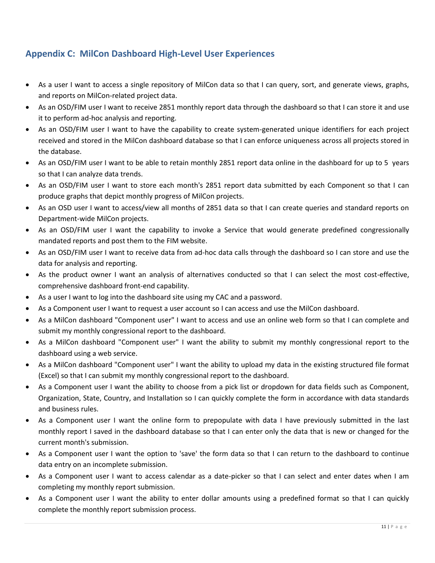# <span id="page-10-0"></span>**Appendix C: MilCon Dashboard High-Level User Experiences**

- As a user I want to access a single repository of MilCon data so that I can query, sort, and generate views, graphs, and reports on MilCon-related project data.
- As an OSD/FIM user I want to receive 2851 monthly report data through the dashboard so that I can store it and use it to perform ad-hoc analysis and reporting.
- As an OSD/FIM user I want to have the capability to create system-generated unique identifiers for each project received and stored in the MilCon dashboard database so that I can enforce uniqueness across all projects stored in the database.
- As an OSD/FIM user I want to be able to retain monthly 2851 report data online in the dashboard for up to 5 years so that I can analyze data trends.
- As an OSD/FIM user I want to store each month's 2851 report data submitted by each Component so that I can produce graphs that depict monthly progress of MilCon projects.
- As an OSD user I want to access/view all months of 2851 data so that I can create queries and standard reports on Department-wide MilCon projects.
- As an OSD/FIM user I want the capability to invoke a Service that would generate predefined congressionally mandated reports and post them to the FIM website.
- As an OSD/FIM user I want to receive data from ad-hoc data calls through the dashboard so I can store and use the data for analysis and reporting.
- As the product owner I want an analysis of alternatives conducted so that I can select the most cost-effective, comprehensive dashboard front-end capability.
- As a user I want to log into the dashboard site using my CAC and a password.
- As a Component user I want to request a user account so I can access and use the MilCon dashboard.
- As a MilCon dashboard "Component user" I want to access and use an online web form so that I can complete and submit my monthly congressional report to the dashboard.
- As a MilCon dashboard "Component user" I want the ability to submit my monthly congressional report to the dashboard using a web service.
- As a MilCon dashboard "Component user" I want the ability to upload my data in the existing structured file format (Excel) so that I can submit my monthly congressional report to the dashboard.
- As a Component user I want the ability to choose from a pick list or dropdown for data fields such as Component, Organization, State, Country, and Installation so I can quickly complete the form in accordance with data standards and business rules.
- As a Component user I want the online form to prepopulate with data I have previously submitted in the last monthly report I saved in the dashboard database so that I can enter only the data that is new or changed for the current month's submission.
- As a Component user I want the option to 'save' the form data so that I can return to the dashboard to continue data entry on an incomplete submission.
- As a Component user I want to access calendar as a date-picker so that I can select and enter dates when I am completing my monthly report submission.
- As a Component user I want the ability to enter dollar amounts using a predefined format so that I can quickly complete the monthly report submission process.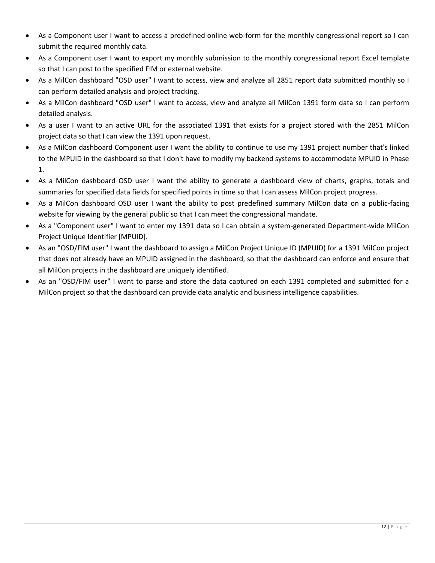- As a Component user I want to access a predefined online web-form for the monthly congressional report so I can submit the required monthly data.
- As a Component user I want to export my monthly submission to the monthly congressional report Excel template so that I can post to the specified FIM or external website.
- As a MilCon dashboard "OSD user" I want to access, view and analyze all 2851 report data submitted monthly so I can perform detailed analysis and project tracking.
- As a MilCon dashboard "OSD user" I want to access, view and analyze all MilCon 1391 form data so I can perform detailed analysis.
- As a user I want to an active URL for the associated 1391 that exists for a project stored with the 2851 MilCon project data so that I can view the 1391 upon request.
- As a MilCon dashboard Component user I want the ability to continue to use my 1391 project number that's linked to the MPUID in the dashboard so that I don't have to modify my backend systems to accommodate MPUID in Phase 1.
- As a MilCon dashboard OSD user I want the ability to generate a dashboard view of charts, graphs, totals and summaries for specified data fields for specified points in time so that I can assess MilCon project progress.
- As a MilCon dashboard OSD user I want the ability to post predefined summary MilCon data on a public-facing website for viewing by the general public so that I can meet the congressional mandate.
- As a "Component user" I want to enter my 1391 data so I can obtain a system-generated Department-wide MilCon Project Unique Identifier [MPUID].
- As an "OSD/FIM user" I want the dashboard to assign a MilCon Project Unique ID (MPUID) for a 1391 MilCon project that does not already have an MPUID assigned in the dashboard, so that the dashboard can enforce and ensure that all MilCon projects in the dashboard are uniquely identified.
- As an "OSD/FIM user" I want to parse and store the data captured on each 1391 completed and submitted for a MilCon project so that the dashboard can provide data analytic and business intelligence capabilities.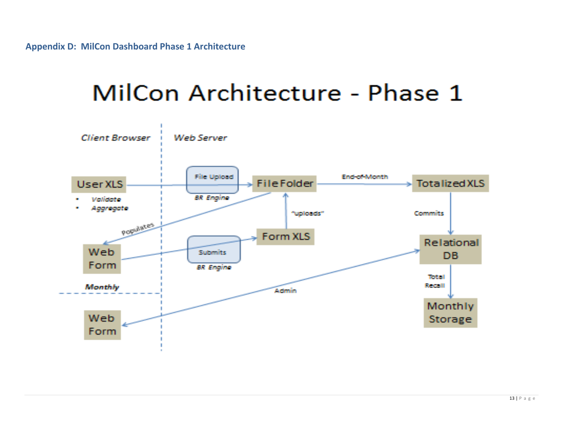# MilCon Architecture - Phase 1

<span id="page-12-0"></span>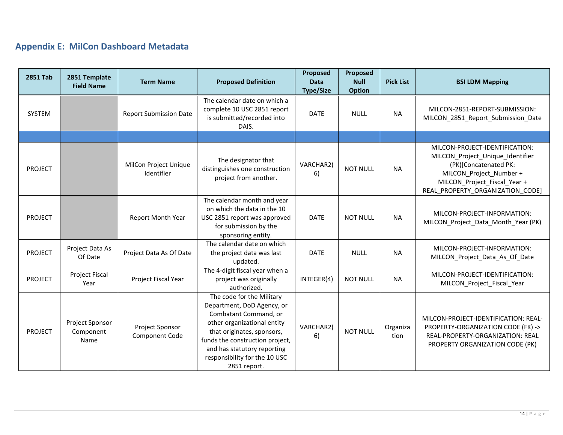# **Appendix E: MilCon Dashboard Metadata**

<span id="page-13-0"></span>

| <b>2851 Tab</b> | 2851 Template<br><b>Field Name</b>   | <b>Term Name</b>                    | <b>Proposed Definition</b>                                                                                                                                                                                                                                       | Proposed<br><b>Data</b><br><b>Type/Size</b> | Proposed<br><b>Null</b><br><b>Option</b> | <b>Pick List</b> | <b>BSI LDM Mapping</b>                                                                                                                                                                     |
|-----------------|--------------------------------------|-------------------------------------|------------------------------------------------------------------------------------------------------------------------------------------------------------------------------------------------------------------------------------------------------------------|---------------------------------------------|------------------------------------------|------------------|--------------------------------------------------------------------------------------------------------------------------------------------------------------------------------------------|
| SYSTEM          |                                      | <b>Report Submission Date</b>       | The calendar date on which a<br>complete 10 USC 2851 report<br>is submitted/recorded into<br>DAIS.                                                                                                                                                               | <b>DATE</b>                                 | <b>NULL</b>                              | <b>NA</b>        | MILCON-2851-REPORT-SUBMISSION:<br>MILCON_2851_Report_Submission_Date                                                                                                                       |
|                 |                                      |                                     |                                                                                                                                                                                                                                                                  |                                             |                                          |                  |                                                                                                                                                                                            |
| PROJECT         |                                      | MilCon Project Unique<br>Identifier | The designator that<br>distinguishes one construction<br>project from another.                                                                                                                                                                                   | VARCHAR2(<br>6)                             | <b>NOT NULL</b>                          | <b>NA</b>        | MILCON-PROJECT-IDENTIFICATION:<br>MILCON Project Unique Identifier<br>(PK)[Concatenated PK:<br>MILCON_Project_Number +<br>MILCON_Project_Fiscal_Year +<br>REAL_PROPERTY_ORGANIZATION_CODE] |
| PROJECT         |                                      | Report Month Year                   | The calendar month and year<br>on which the data in the 10<br>USC 2851 report was approved<br>for submission by the<br>sponsoring entity.                                                                                                                        | <b>DATE</b>                                 | <b>NOT NULL</b>                          | <b>NA</b>        | MILCON-PROJECT-INFORMATION:<br>MILCON_Project_Data_Month_Year (PK)                                                                                                                         |
| <b>PROJECT</b>  | Project Data As<br>Of Date           | Project Data As Of Date             | The calendar date on which<br>the project data was last<br>updated.                                                                                                                                                                                              | <b>DATE</b>                                 | <b>NULL</b>                              | <b>NA</b>        | MILCON-PROJECT-INFORMATION:<br>MILCON_Project_Data_As_Of_Date                                                                                                                              |
| <b>PROJECT</b>  | <b>Project Fiscal</b><br>Year        | Project Fiscal Year                 | The 4-digit fiscal year when a<br>project was originally<br>authorized.                                                                                                                                                                                          | INTEGER(4)                                  | <b>NOT NULL</b>                          | <b>NA</b>        | MILCON-PROJECT-IDENTIFICATION:<br>MILCON_Project_Fiscal_Year                                                                                                                               |
| <b>PROJECT</b>  | Project Sponsor<br>Component<br>Name | Project Sponsor<br>Component Code   | The code for the Military<br>Department, DoD Agency, or<br>Combatant Command, or<br>other organizational entity<br>that originates, sponsors,<br>funds the construction project,<br>and has statutory reporting<br>responsibility for the 10 USC<br>2851 report. | VARCHAR2(<br>6)                             | <b>NOT NULL</b>                          | Organiza<br>tion | MILCON-PROJECT-IDENTIFICATION: REAL-<br>PROPERTY-ORGANIZATION CODE (FK) -><br>REAL-PROPERTY-ORGANIZATION: REAL<br>PROPERTY ORGANIZATION CODE (PK)                                          |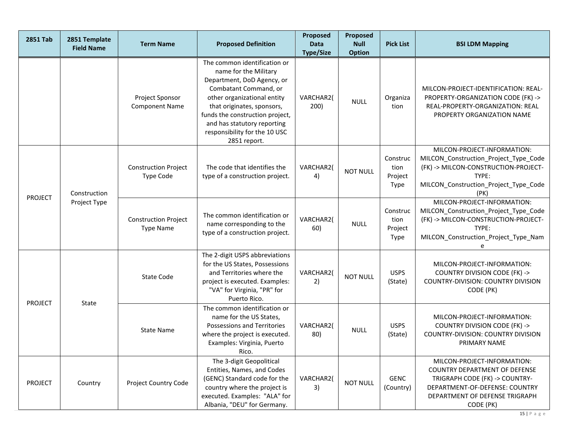| <b>2851 Tab</b>                            | 2851 Template<br><b>Field Name</b>              | <b>Term Name</b>                                                                                                                                                                                          | <b>Proposed Definition</b>                                                                                                                                                                                                                                                                   | Proposed<br><b>Data</b><br><b>Type/Size</b> | Proposed<br><b>Null</b><br><b>Option</b> | <b>Pick List</b>                                                                                                                                                                       | <b>BSI LDM Mapping</b>                                                                                                                                             |
|--------------------------------------------|-------------------------------------------------|-----------------------------------------------------------------------------------------------------------------------------------------------------------------------------------------------------------|----------------------------------------------------------------------------------------------------------------------------------------------------------------------------------------------------------------------------------------------------------------------------------------------|---------------------------------------------|------------------------------------------|----------------------------------------------------------------------------------------------------------------------------------------------------------------------------------------|--------------------------------------------------------------------------------------------------------------------------------------------------------------------|
|                                            |                                                 | Project Sponsor<br><b>Component Name</b>                                                                                                                                                                  | The common identification or<br>name for the Military<br>Department, DoD Agency, or<br>Combatant Command, or<br>other organizational entity<br>that originates, sponsors,<br>funds the construction project,<br>and has statutory reporting<br>responsibility for the 10 USC<br>2851 report. | VARCHAR2(<br>200)                           | <b>NULL</b>                              | Organiza<br>tion                                                                                                                                                                       | MILCON-PROJECT-IDENTIFICATION: REAL-<br>PROPERTY-ORGANIZATION CODE (FK) -><br>REAL-PROPERTY-ORGANIZATION: REAL<br>PROPERTY ORGANIZATION NAME                       |
| Construction<br>PROJECT<br>Project Type    | <b>Construction Project</b><br><b>Type Code</b> | The code that identifies the<br>type of a construction project.                                                                                                                                           | VARCHAR2(<br>4)                                                                                                                                                                                                                                                                              | <b>NOT NULL</b>                             | Construc<br>tion<br>Project<br>Type      | MILCON-PROJECT-INFORMATION:<br>MILCON_Construction_Project_Type_Code<br>(FK) -> MILCON-CONSTRUCTION-PROJECT-<br>TYPE:<br>MILCON_Construction_Project_Type_Code<br>(PK)                 |                                                                                                                                                                    |
|                                            |                                                 | <b>Construction Project</b><br><b>Type Name</b>                                                                                                                                                           | The common identification or<br>name corresponding to the<br>type of a construction project.                                                                                                                                                                                                 | VARCHAR2(<br>60)                            | <b>NULL</b>                              | Construc<br>tion<br>Project<br>Type                                                                                                                                                    | MILCON-PROJECT-INFORMATION:<br>MILCON_Construction_Project_Type_Code<br>(FK) -> MILCON-CONSTRUCTION-PROJECT-<br>TYPE:<br>MILCON_Construction_Project_Type_Nam<br>e |
| <b>PROJECT</b>                             |                                                 | <b>State Code</b>                                                                                                                                                                                         | The 2-digit USPS abbreviations<br>for the US States, Possessions<br>and Territories where the<br>project is executed. Examples:<br>"VA" for Virginia, "PR" for<br>Puerto Rico.                                                                                                               | VARCHAR2(<br>2)                             | <b>NOT NULL</b>                          | <b>USPS</b><br>(State)                                                                                                                                                                 | MILCON-PROJECT-INFORMATION:<br><b>COUNTRY DIVISION CODE (FK) -&gt;</b><br>COUNTRY-DIVISION: COUNTRY DIVISION<br>CODE (PK)                                          |
|                                            | State                                           | <b>State Name</b>                                                                                                                                                                                         | The common identification or<br>name for the US States,<br>Possessions and Territories<br>where the project is executed.<br>Examples: Virginia, Puerto<br>Rico.                                                                                                                              | VARCHAR2(<br>80)                            | <b>NULL</b>                              | <b>USPS</b><br>(State)                                                                                                                                                                 | MILCON-PROJECT-INFORMATION:<br><b>COUNTRY DIVISION CODE (FK) -&gt;</b><br>COUNTRY-DIVISION: COUNTRY DIVISION<br>PRIMARY NAME                                       |
| PROJECT<br>Project Country Code<br>Country |                                                 | The 3-digit Geopolitical<br>Entities, Names, and Codes<br>(GENC) Standard code for the<br>VARCHAR2(<br>country where the project is<br>3)<br>executed. Examples: "ALA" for<br>Albania, "DEU" for Germany. |                                                                                                                                                                                                                                                                                              | <b>NOT NULL</b>                             | <b>GENC</b><br>(Country)                 | MILCON-PROJECT-INFORMATION:<br><b>COUNTRY DEPARTMENT OF DEFENSE</b><br>TRIGRAPH CODE (FK) -> COUNTRY-<br>DEPARTMENT-OF-DEFENSE: COUNTRY<br>DEPARTMENT OF DEFENSE TRIGRAPH<br>CODE (PK) |                                                                                                                                                                    |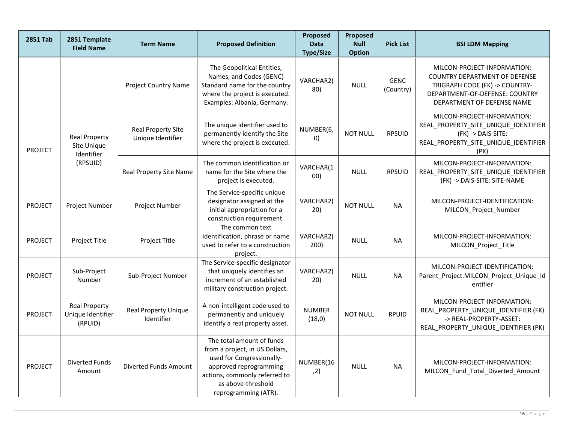| <b>2851 Tab</b>                                                                 | 2851 Template<br><b>Field Name</b>                   | <b>Term Name</b>                                                                                 | <b>Proposed Definition</b>                                                                                                                                                                        | Proposed<br><b>Data</b><br><b>Type/Size</b> | Proposed<br><b>Null</b><br><b>Option</b> | <b>Pick List</b>                                                                                                                          | <b>BSI LDM Mapping</b>                                                                                                                                                |
|---------------------------------------------------------------------------------|------------------------------------------------------|--------------------------------------------------------------------------------------------------|---------------------------------------------------------------------------------------------------------------------------------------------------------------------------------------------------|---------------------------------------------|------------------------------------------|-------------------------------------------------------------------------------------------------------------------------------------------|-----------------------------------------------------------------------------------------------------------------------------------------------------------------------|
|                                                                                 |                                                      | <b>Project Country Name</b>                                                                      | The Geopolitical Entities,<br>Names, and Codes (GENC)<br>Standard name for the country<br>where the project is executed.<br>Examples: Albania, Germany.                                           | VARCHAR2(<br>80)                            | <b>NULL</b>                              | <b>GENC</b><br>(Country)                                                                                                                  | MILCON-PROJECT-INFORMATION:<br><b>COUNTRY DEPARTMENT OF DEFENSE</b><br>TRIGRAPH CODE (FK) -> COUNTRY-<br>DEPARTMENT-OF-DEFENSE: COUNTRY<br>DEPARTMENT OF DEFENSE NAME |
| <b>Real Property</b><br>Site Unique<br><b>PROJECT</b><br>Identifier<br>(RPSUID) | <b>Real Property Site</b><br>Unique Identifier       | The unique identifier used to<br>permanently identify the Site<br>where the project is executed. | NUMBER(6,<br>$\left( 0\right)$                                                                                                                                                                    | <b>NOT NULL</b>                             | <b>RPSUID</b>                            | MILCON-PROJECT-INFORMATION:<br>REAL_PROPERTY_SITE_UNIQUE_IDENTIFIER<br>(FK) -> DAIS-SITE:<br>REAL_PROPERTY_SITE_UNIQUE_IDENTIFIER<br>(PK) |                                                                                                                                                                       |
|                                                                                 |                                                      | Real Property Site Name                                                                          | The common identification or<br>name for the Site where the<br>project is executed.                                                                                                               | VARCHAR(1<br>00)                            | <b>NULL</b>                              | <b>RPSUID</b>                                                                                                                             | MILCON-PROJECT-INFORMATION:<br>REAL_PROPERTY_SITE_UNIQUE_IDENTIFIER<br>(FK) -> DAIS-SITE: SITE-NAME                                                                   |
| <b>PROJECT</b>                                                                  | Project Number                                       | Project Number                                                                                   | The Service-specific unique<br>designator assigned at the<br>initial appropriation for a<br>construction requirement.                                                                             | VARCHAR2(<br>20)                            | <b>NOT NULL</b>                          | <b>NA</b>                                                                                                                                 | MILCON-PROJECT-IDENTIFICATION:<br>MILCON_Project_Number                                                                                                               |
| <b>PROJECT</b>                                                                  | Project Title                                        | Project Title                                                                                    | The common text<br>identification, phrase or name<br>used to refer to a construction<br>project.                                                                                                  | VARCHAR2(<br>200)                           | <b>NULL</b>                              | <b>NA</b>                                                                                                                                 | MILCON-PROJECT-INFORMATION:<br>MILCON_Project_Title                                                                                                                   |
| <b>PROJECT</b>                                                                  | Sub-Project<br>Number                                | Sub-Project Number                                                                               | The Service-specific designator<br>that uniquely identifies an<br>increment of an established<br>military construction project.                                                                   | VARCHAR2(<br>20)                            | <b>NULL</b>                              | <b>NA</b>                                                                                                                                 | MILCON-PROJECT-IDENTIFICATION:<br>Parent_Project.MILCON_Project_Unique_Id<br>entifier                                                                                 |
| PROJECT                                                                         | <b>Real Property</b><br>Unique Identifier<br>(RPUID) | <b>Real Property Unique</b><br>Identifier                                                        | A non-intelligent code used to<br>permanently and uniquely<br>identify a real property asset.                                                                                                     | <b>NUMBER</b><br>(18, 0)                    | <b>NOT NULL</b>                          | <b>RPUID</b>                                                                                                                              | MILCON-PROJECT-INFORMATION:<br>REAL_PROPERTY_UNIQUE_IDENTIFIER (FK)<br>-> REAL-PROPERTY-ASSET:<br>REAL_PROPERTY_UNIQUE_IDENTIFIER (PK)                                |
| <b>PROJECT</b>                                                                  | <b>Diverted Funds</b><br>Amount                      | Diverted Funds Amount                                                                            | The total amount of funds<br>from a project, in US Dollars,<br>used for Congressionally-<br>approved reprogramming<br>actions, commonly referred to<br>as above-threshold<br>reprogramming (ATR). | NUMBER(16<br>, 2)                           | <b>NULL</b>                              | <b>NA</b>                                                                                                                                 | MILCON-PROJECT-INFORMATION:<br>MILCON Fund Total Diverted Amount                                                                                                      |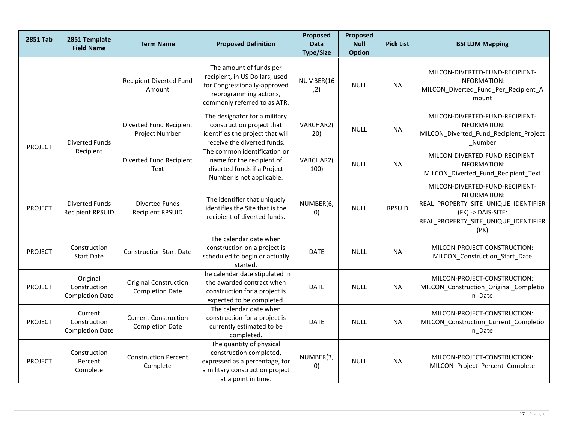| <b>2851 Tab</b>                                      | 2851 Template<br><b>Field Name</b>                 | <b>Term Name</b>                                       | <b>Proposed Definition</b>                                                                                                                          | Proposed<br><b>Data</b><br><b>Type/Size</b> | Proposed<br><b>Null</b><br><b>Option</b> | <b>Pick List</b> | <b>BSI LDM Mapping</b>                                                                                                                                               |
|------------------------------------------------------|----------------------------------------------------|--------------------------------------------------------|-----------------------------------------------------------------------------------------------------------------------------------------------------|---------------------------------------------|------------------------------------------|------------------|----------------------------------------------------------------------------------------------------------------------------------------------------------------------|
|                                                      |                                                    | <b>Recipient Diverted Fund</b><br>Amount               | The amount of funds per<br>recipient, in US Dollars, used<br>for Congressionally-approved<br>reprogramming actions,<br>commonly referred to as ATR. | NUMBER(16<br>, 2)                           | <b>NULL</b>                              | <b>NA</b>        | MILCON-DIVERTED-FUND-RECIPIENT-<br><b>INFORMATION:</b><br>MILCON_Diverted_Fund_Per_Recipient_A<br>mount                                                              |
| <b>Diverted Funds</b><br><b>PROJECT</b><br>Recipient |                                                    | Diverted Fund Recipient<br>Project Number              | The designator for a military<br>construction project that<br>identifies the project that will<br>receive the diverted funds.                       | VARCHAR2(<br>20)                            | <b>NULL</b>                              | <b>NA</b>        | MILCON-DIVERTED-FUND-RECIPIENT-<br><b>INFORMATION:</b><br>MILCON_Diverted_Fund_Recipient_Project<br>Number                                                           |
|                                                      |                                                    | Diverted Fund Recipient<br>Text                        | The common identification or<br>name for the recipient of<br>diverted funds if a Project<br>Number is not applicable.                               | VARCHAR2(<br>100)                           | <b>NULL</b>                              | <b>NA</b>        | MILCON-DIVERTED-FUND-RECIPIENT-<br><b>INFORMATION:</b><br>MILCON_Diverted_Fund_Recipient_Text                                                                        |
| <b>PROJECT</b>                                       | <b>Diverted Funds</b><br><b>Recipient RPSUID</b>   | <b>Diverted Funds</b><br><b>Recipient RPSUID</b>       | The identifier that uniquely<br>identifies the Site that is the<br>recipient of diverted funds.                                                     | NUMBER(6,<br>O)                             | <b>NULL</b>                              | <b>RPSUID</b>    | MILCON-DIVERTED-FUND-RECIPIENT-<br><b>INFORMATION:</b><br>REAL_PROPERTY_SITE_UNIQUE_IDENTIFIER<br>(FK) -> DAIS-SITE:<br>REAL_PROPERTY_SITE_UNIQUE_IDENTIFIER<br>(PK) |
| <b>PROJECT</b>                                       | Construction<br><b>Start Date</b>                  | <b>Construction Start Date</b>                         | The calendar date when<br>construction on a project is<br>scheduled to begin or actually<br>started.                                                | <b>DATE</b>                                 | <b>NULL</b>                              | <b>NA</b>        | MILCON-PROJECT-CONSTRUCTION:<br>MILCON Construction Start Date                                                                                                       |
| <b>PROJECT</b>                                       | Original<br>Construction<br><b>Completion Date</b> | <b>Original Construction</b><br><b>Completion Date</b> | The calendar date stipulated in<br>the awarded contract when<br>construction for a project is<br>expected to be completed.                          | <b>DATE</b>                                 | <b>NULL</b>                              | <b>NA</b>        | MILCON-PROJECT-CONSTRUCTION:<br>MILCON_Construction_Original_Completio<br>n_Date                                                                                     |
| <b>PROJECT</b>                                       | Current<br>Construction<br><b>Completion Date</b>  | <b>Current Construction</b><br><b>Completion Date</b>  | The calendar date when<br>construction for a project is<br>currently estimated to be<br>completed.                                                  | <b>DATE</b>                                 | <b>NULL</b>                              | <b>NA</b>        | MILCON-PROJECT-CONSTRUCTION:<br>MILCON_Construction_Current_Completio<br>n_Date                                                                                      |
| <b>PROJECT</b>                                       | Construction<br>Percent<br>Complete                | <b>Construction Percent</b><br>Complete                | The quantity of physical<br>construction completed,<br>expressed as a percentage, for<br>a military construction project<br>at a point in time.     | NUMBER(3,<br>$\left( 0\right)$              | <b>NULL</b>                              | <b>NA</b>        | MILCON-PROJECT-CONSTRUCTION:<br>MILCON_Project_Percent_Complete                                                                                                      |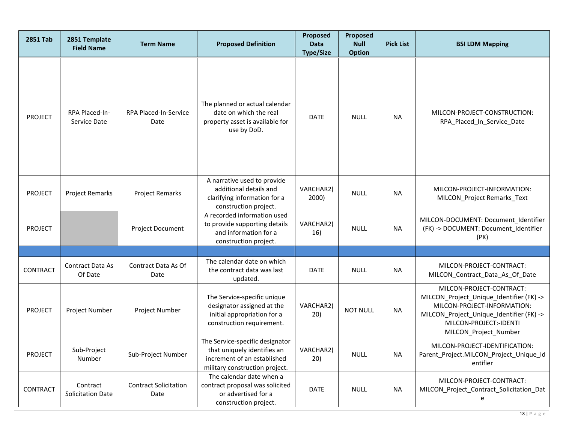| <b>2851 Tab</b> | 2851 Template<br><b>Field Name</b> | <b>Term Name</b>                     | <b>Proposed Definition</b>                                                                                                      | <b>Proposed</b><br><b>Data</b><br><b>Type/Size</b> | Proposed<br><b>Null</b><br><b>Option</b> | <b>Pick List</b> | <b>BSI LDM Mapping</b>                                                                                                                                                                             |
|-----------------|------------------------------------|--------------------------------------|---------------------------------------------------------------------------------------------------------------------------------|----------------------------------------------------|------------------------------------------|------------------|----------------------------------------------------------------------------------------------------------------------------------------------------------------------------------------------------|
| PROJECT         | RPA Placed-In-<br>Service Date     | RPA Placed-In-Service<br>Date        | The planned or actual calendar<br>date on which the real<br>property asset is available for<br>use by DoD.                      | <b>DATE</b>                                        | <b>NULL</b>                              | <b>NA</b>        | MILCON-PROJECT-CONSTRUCTION:<br>RPA_Placed_In_Service_Date                                                                                                                                         |
| <b>PROJECT</b>  | <b>Project Remarks</b>             | <b>Project Remarks</b>               | A narrative used to provide<br>additional details and<br>clarifying information for a<br>construction project.                  | VARCHAR2(<br>2000)                                 | <b>NULL</b>                              | <b>NA</b>        | MILCON-PROJECT-INFORMATION:<br>MILCON_Project Remarks_Text                                                                                                                                         |
| <b>PROJECT</b>  |                                    | Project Document                     | A recorded information used<br>to provide supporting details<br>and information for a<br>construction project.                  | VARCHAR2(<br>16)                                   | <b>NULL</b>                              | <b>NA</b>        | MILCON-DOCUMENT: Document_Identifier<br>(FK) -> DOCUMENT: Document_Identifier<br>(PK)                                                                                                              |
|                 |                                    |                                      |                                                                                                                                 |                                                    |                                          |                  |                                                                                                                                                                                                    |
| <b>CONTRACT</b> | Contract Data As<br>Of Date        | Contract Data As Of<br>Date          | The calendar date on which<br>the contract data was last<br>updated.                                                            | <b>DATE</b>                                        | <b>NULL</b>                              | <b>NA</b>        | MILCON-PROJECT-CONTRACT:<br>MILCON_Contract_Data_As_Of_Date                                                                                                                                        |
| <b>PROJECT</b>  | Project Number                     | Project Number                       | The Service-specific unique<br>designator assigned at the<br>initial appropriation for a<br>construction requirement.           | VARCHAR2(<br>20)                                   | <b>NOT NULL</b>                          | <b>NA</b>        | MILCON-PROJECT-CONTRACT:<br>MILCON_Project_Unique_Identifier (FK) -><br>MILCON-PROJECT-INFORMATION:<br>MILCON_Project_Unique_Identifier (FK) -><br>MILCON-PROJECT:-IDENTI<br>MILCON_Project_Number |
| <b>PROJECT</b>  | Sub-Project<br>Number              | Sub-Project Number                   | The Service-specific designator<br>that uniquely identifies an<br>increment of an established<br>military construction project. | VARCHAR2(<br>20)                                   | <b>NULL</b>                              | <b>NA</b>        | MILCON-PROJECT-IDENTIFICATION:<br>Parent_Project.MILCON_Project_Unique_Id<br>entifier                                                                                                              |
| CONTRACT        | Contract<br>Solicitation Date      | <b>Contract Solicitation</b><br>Date | The calendar date when a<br>contract proposal was solicited<br>or advertised for a<br>construction project.                     | <b>DATE</b>                                        | <b>NULL</b>                              | <b>NA</b>        | MILCON-PROJECT-CONTRACT:<br>MILCON_Project_Contract_Solicitation_Dat<br>e                                                                                                                          |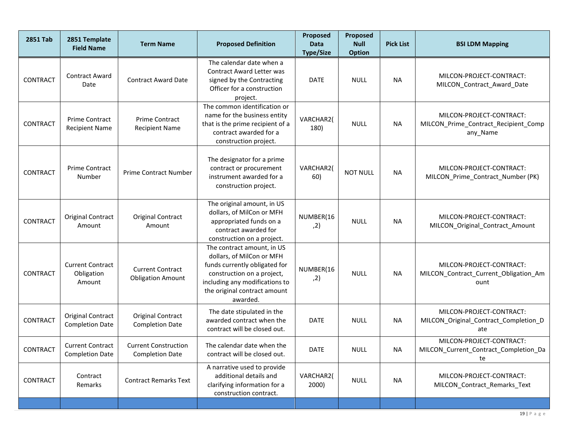| <b>2851 Tab</b> | 2851 Template<br><b>Field Name</b>                 | <b>Term Name</b>                                      | <b>Proposed Definition</b>                                                                                                                                                                           | Proposed<br><b>Data</b><br><b>Type/Size</b> | Proposed<br><b>Null</b><br><b>Option</b> | <b>Pick List</b> | <b>BSI LDM Mapping</b>                                                       |
|-----------------|----------------------------------------------------|-------------------------------------------------------|------------------------------------------------------------------------------------------------------------------------------------------------------------------------------------------------------|---------------------------------------------|------------------------------------------|------------------|------------------------------------------------------------------------------|
| <b>CONTRACT</b> | <b>Contract Award</b><br>Date                      | <b>Contract Award Date</b>                            | The calendar date when a<br>Contract Award Letter was<br>signed by the Contracting<br>Officer for a construction<br>project.                                                                         | <b>DATE</b>                                 | <b>NULL</b>                              | <b>NA</b>        | MILCON-PROJECT-CONTRACT:<br>MILCON_Contract_Award_Date                       |
| <b>CONTRACT</b> | Prime Contract<br><b>Recipient Name</b>            | Prime Contract<br><b>Recipient Name</b>               | The common identification or<br>name for the business entity<br>that is the prime recipient of a<br>contract awarded for a<br>construction project.                                                  | VARCHAR2(<br>180)                           | <b>NULL</b>                              | <b>NA</b>        | MILCON-PROJECT-CONTRACT:<br>MILCON_Prime_Contract_Recipient_Comp<br>any_Name |
| <b>CONTRACT</b> | Prime Contract<br>Number                           | <b>Prime Contract Number</b>                          | The designator for a prime<br>contract or procurement<br>instrument awarded for a<br>construction project.                                                                                           | VARCHAR2(<br>60)                            | <b>NOT NULL</b>                          | <b>NA</b>        | MILCON-PROJECT-CONTRACT:<br>MILCON_Prime_Contract_Number (PK)                |
| <b>CONTRACT</b> | <b>Original Contract</b><br>Amount                 | <b>Original Contract</b><br>Amount                    | The original amount, in US<br>dollars, of MilCon or MFH<br>appropriated funds on a<br>contract awarded for<br>construction on a project.                                                             | NUMBER(16<br>, 2)                           | <b>NULL</b>                              | <b>NA</b>        | MILCON-PROJECT-CONTRACT:<br>MILCON_Original_Contract_Amount                  |
| <b>CONTRACT</b> | <b>Current Contract</b><br>Obligation<br>Amount    | <b>Current Contract</b><br><b>Obligation Amount</b>   | The contract amount, in US<br>dollars, of MilCon or MFH<br>funds currently obligated for<br>construction on a project,<br>including any modifications to<br>the original contract amount<br>awarded. | NUMBER(16<br>, 2)                           | <b>NULL</b>                              | <b>NA</b>        | MILCON-PROJECT-CONTRACT:<br>MILCON_Contract_Current_Obligation_Am<br>ount    |
| <b>CONTRACT</b> | <b>Original Contract</b><br><b>Completion Date</b> | <b>Original Contract</b><br><b>Completion Date</b>    | The date stipulated in the<br>awarded contract when the<br>contract will be closed out.                                                                                                              | <b>DATE</b>                                 | <b>NULL</b>                              | <b>NA</b>        | MILCON-PROJECT-CONTRACT:<br>MILCON_Original_Contract_Completion_D<br>ate     |
| CONTRACT        | <b>Current Contract</b><br><b>Completion Date</b>  | <b>Current Construction</b><br><b>Completion Date</b> | The calendar date when the<br>contract will be closed out.                                                                                                                                           | DATE                                        | <b>NULL</b>                              | NA.              | MILCON-PROJECT-CONTRACT:<br>MILCON_Current_Contract_Completion_Da<br>te      |
| CONTRACT        | Contract<br>Remarks                                | <b>Contract Remarks Text</b>                          | A narrative used to provide<br>additional details and<br>clarifying information for a<br>construction contract.                                                                                      | VARCHAR2(<br>2000)                          | <b>NULL</b>                              | <b>NA</b>        | MILCON-PROJECT-CONTRACT:<br>MILCON_Contract_Remarks_Text                     |
|                 |                                                    |                                                       |                                                                                                                                                                                                      |                                             |                                          |                  |                                                                              |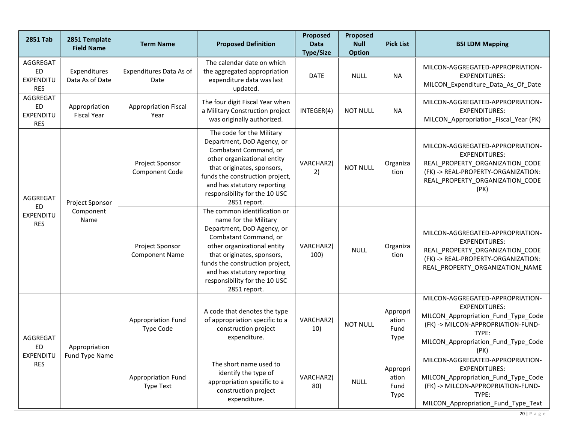| <b>2851 Tab</b>                           | 2851 Template<br><b>Field Name</b>     | <b>Term Name</b>                              | <b>Proposed Definition</b>                                                                                                                                                                                                                                                                   | Proposed<br><b>Data</b><br><b>Type/Size</b> | Proposed<br><b>Null</b><br><b>Option</b> | <b>Pick List</b>                         | <b>BSI LDM Mapping</b>                                                                                                                                                                        |
|-------------------------------------------|----------------------------------------|-----------------------------------------------|----------------------------------------------------------------------------------------------------------------------------------------------------------------------------------------------------------------------------------------------------------------------------------------------|---------------------------------------------|------------------------------------------|------------------------------------------|-----------------------------------------------------------------------------------------------------------------------------------------------------------------------------------------------|
| AGGREGAT<br>ED<br>EXPENDITU<br><b>RES</b> | Expenditures<br>Data As of Date        | Expenditures Data As of<br>Date               | The calendar date on which<br>the aggregated appropriation<br>expenditure data was last<br>updated.                                                                                                                                                                                          | <b>DATE</b>                                 | <b>NULL</b>                              | <b>NA</b>                                | MILCON-AGGREGATED-APPROPRIATION-<br><b>EXPENDITURES:</b><br>MILCON_Expenditure_Data_As_Of_Date                                                                                                |
| AGGREGAT<br>ED<br>EXPENDITU<br><b>RES</b> | Appropriation<br><b>Fiscal Year</b>    | <b>Appropriation Fiscal</b><br>Year           | The four digit Fiscal Year when<br>a Military Construction project<br>was originally authorized.                                                                                                                                                                                             | INTEGER(4)                                  | <b>NOT NULL</b>                          | <b>NA</b>                                | MILCON-AGGREGATED-APPROPRIATION-<br><b>EXPENDITURES:</b><br>MILCON_Appropriation_Fiscal_Year (PK)                                                                                             |
| AGGREGAT<br>Project Sponsor               |                                        | Project Sponsor<br>Component Code             | The code for the Military<br>Department, DoD Agency, or<br>Combatant Command, or<br>other organizational entity<br>that originates, sponsors,<br>funds the construction project,<br>and has statutory reporting<br>responsibility for the 10 USC<br>2851 report.                             | VARCHAR2(<br>2)                             | <b>NOT NULL</b>                          | Organiza<br>tion                         | MILCON-AGGREGATED-APPROPRIATION-<br><b>EXPENDITURES:</b><br>REAL_PROPERTY_ORGANIZATION_CODE<br>(FK) -> REAL-PROPERTY-ORGANIZATION:<br>REAL_PROPERTY_ORGANIZATION_CODE<br>(PK)                 |
| ED<br><b>EXPENDITU</b><br><b>RES</b>      | Component<br>Name                      | Project Sponsor<br><b>Component Name</b>      | The common identification or<br>name for the Military<br>Department, DoD Agency, or<br>Combatant Command, or<br>other organizational entity<br>that originates, sponsors,<br>funds the construction project,<br>and has statutory reporting<br>responsibility for the 10 USC<br>2851 report. | VARCHAR2(<br>100)                           | <b>NULL</b>                              | Organiza<br>tion                         | MILCON-AGGREGATED-APPROPRIATION-<br><b>EXPENDITURES:</b><br>REAL_PROPERTY_ORGANIZATION_CODE<br>(FK) -> REAL-PROPERTY-ORGANIZATION:<br>REAL_PROPERTY_ORGANIZATION_NAME                         |
| AGGREGAT<br>ED<br>EXPENDITU<br><b>RES</b> | Appropriation<br><b>Fund Type Name</b> | <b>Appropriation Fund</b><br><b>Type Code</b> | A code that denotes the type<br>of appropriation specific to a<br>construction project<br>expenditure.                                                                                                                                                                                       | VARCHAR2(<br>10)                            | <b>NOT NULL</b>                          | Appropri<br>ation<br>Fund<br><b>Type</b> | MILCON-AGGREGATED-APPROPRIATION-<br><b>EXPENDITURES:</b><br>MILCON_Appropriation_Fund_Type_Code<br>(FK) -> MILCON-APPROPRIATION-FUND-<br>TYPE:<br>MILCON_Appropriation_Fund_Type_Code<br>(PK) |
|                                           |                                        | Appropriation Fund<br>Type Text               | The short name used to<br>identify the type of<br>appropriation specific to a<br>construction project<br>expenditure.                                                                                                                                                                        | VARCHAR2(<br>80)                            | <b>NULL</b>                              | Appropri<br>ation<br>Fund<br>Type        | MILCON-AGGREGATED-APPROPRIATION-<br><b>EXPENDITURES:</b><br>MILCON_Appropriation_Fund_Type_Code<br>(FK) -> MILCON-APPROPRIATION-FUND-<br>TYPE:<br>MILCON_Appropriation_Fund_Type_Text         |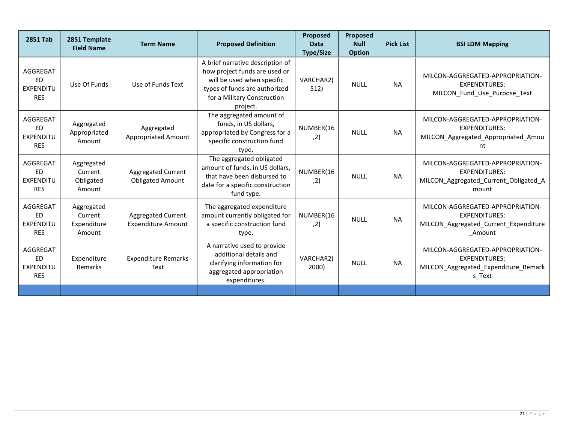| <b>2851 Tab</b>                                         | 2851 Template<br><b>Field Name</b>             | <b>Term Name</b>                                       | <b>Proposed Definition</b>                                                                                                                                                  | <b>Proposed</b><br><b>Data</b><br><b>Type/Size</b> | Proposed<br><b>Null</b><br><b>Option</b> | <b>Pick List</b> | <b>BSI LDM Mapping</b>                                                                                       |
|---------------------------------------------------------|------------------------------------------------|--------------------------------------------------------|-----------------------------------------------------------------------------------------------------------------------------------------------------------------------------|----------------------------------------------------|------------------------------------------|------------------|--------------------------------------------------------------------------------------------------------------|
| AGGREGAT<br><b>ED</b><br><b>EXPENDITU</b><br><b>RES</b> | Use Of Funds                                   | Use of Funds Text                                      | A brief narrative description of<br>how project funds are used or<br>will be used when specific<br>types of funds are authorized<br>for a Military Construction<br>project. | VARCHAR2(<br>512)                                  | <b>NULL</b>                              | <b>NA</b>        | MILCON-AGGREGATED-APPROPRIATION-<br><b>EXPENDITURES:</b><br>MILCON Fund Use Purpose Text                     |
| AGGREGAT<br><b>ED</b><br><b>EXPENDITU</b><br><b>RES</b> | Aggregated<br>Appropriated<br>Amount           | Aggregated<br><b>Appropriated Amount</b>               | The aggregated amount of<br>funds, in US dollars,<br>appropriated by Congress for a<br>specific construction fund<br>type.                                                  | NUMBER(16<br>, 2)                                  | <b>NULL</b>                              | <b>NA</b>        | MILCON-AGGREGATED-APPROPRIATION-<br><b>EXPENDITURES:</b><br>MILCON_Aggregated_Appropriated_Amou<br>nt        |
| AGGREGAT<br>ED<br><b>EXPENDITU</b><br><b>RES</b>        | Aggregated<br>Current<br>Obligated<br>Amount   | Aggregated Current<br><b>Obligated Amount</b>          | The aggregated obligated<br>amount of funds, in US dollars,<br>that have been disbursed to<br>date for a specific construction<br>fund type.                                | NUMBER(16<br>, 2)                                  | <b>NULL</b>                              | <b>NA</b>        | MILCON-AGGREGATED-APPROPRIATION-<br><b>EXPENDITURES:</b><br>MILCON_Aggregated_Current_Obligated_A<br>mount   |
| AGGREGAT<br><b>ED</b><br><b>EXPENDITU</b><br><b>RES</b> | Aggregated<br>Current<br>Expenditure<br>Amount | <b>Aggregated Current</b><br><b>Expenditure Amount</b> | The aggregated expenditure<br>amount currently obligated for<br>a specific construction fund<br>type.                                                                       | NUMBER(16<br>, 2)                                  | <b>NULL</b>                              | <b>NA</b>        | MILCON-AGGREGATED-APPROPRIATION-<br><b>EXPENDITURES:</b><br>MILCON_Aggregated_Current_Expenditure<br>_Amount |
| AGGREGAT<br><b>ED</b><br><b>EXPENDITU</b><br><b>RES</b> | Expenditure<br><b>Remarks</b>                  | <b>Expenditure Remarks</b><br>Text                     | A narrative used to provide<br>additional details and<br>clarifying information for<br>aggregated appropriation<br>expenditures.                                            | VARCHAR2(<br>2000)                                 | <b>NULL</b>                              | <b>NA</b>        | MILCON-AGGREGATED-APPROPRIATION-<br><b>EXPENDITURES:</b><br>MILCON_Aggregated_Expenditure_Remark<br>s Text   |
|                                                         |                                                |                                                        |                                                                                                                                                                             |                                                    |                                          |                  |                                                                                                              |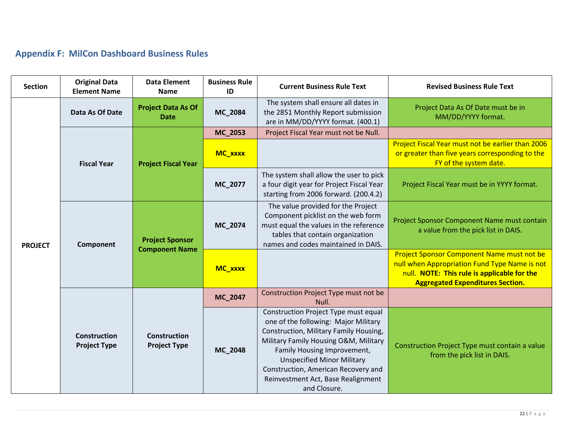# **Appendix F: MilCon Dashboard Business Rules**

<span id="page-21-0"></span>

| <b>Section</b> | <b>Original Data</b><br><b>Element Name</b> | <b>Data Element</b><br><b>Name</b>              | <b>Business Rule</b><br>ID | <b>Current Business Rule Text</b>                                                                                                                                                                                                                                                                                                | <b>Revised Business Rule Text</b>                                                                                                                                                     |
|----------------|---------------------------------------------|-------------------------------------------------|----------------------------|----------------------------------------------------------------------------------------------------------------------------------------------------------------------------------------------------------------------------------------------------------------------------------------------------------------------------------|---------------------------------------------------------------------------------------------------------------------------------------------------------------------------------------|
|                | Data As Of Date                             | <b>Project Data As Of</b><br><b>Date</b>        | MC_2084                    | The system shall ensure all dates in<br>the 2851 Monthly Report submission<br>are in MM/DD/YYYY format. (400.1)                                                                                                                                                                                                                  | Project Data As Of Date must be in<br>MM/DD/YYYY format.                                                                                                                              |
|                | <b>Fiscal Year</b>                          | <b>Project Fiscal Year</b>                      | MC_2053                    | Project Fiscal Year must not be Null.                                                                                                                                                                                                                                                                                            |                                                                                                                                                                                       |
| <b>PROJECT</b> |                                             |                                                 | MC_xxxx                    |                                                                                                                                                                                                                                                                                                                                  | Project Fiscal Year must not be earlier than 2006<br>or greater than five years corresponding to the<br>FY of the system date.                                                        |
|                |                                             |                                                 | MC_2077                    | The system shall allow the user to pick<br>a four digit year for Project Fiscal Year<br>starting from 2006 forward. (200.4.2)                                                                                                                                                                                                    | Project Fiscal Year must be in YYYY format.                                                                                                                                           |
|                | Component                                   | <b>Project Sponsor</b><br><b>Component Name</b> | MC_2074                    | The value provided for the Project<br>Component picklist on the web form<br>must equal the values in the reference<br>tables that contain organization<br>names and codes maintained in DAIS.                                                                                                                                    | Project Sponsor Component Name must contain<br>a value from the pick list in DAIS.                                                                                                    |
|                |                                             |                                                 | MC_xxxx                    |                                                                                                                                                                                                                                                                                                                                  | Project Sponsor Component Name must not be<br>null when Appropriation Fund Type Name is not<br>null. NOTE: This rule is applicable for the<br><b>Aggregated Expenditures Section.</b> |
|                |                                             |                                                 | MC_2047                    | Construction Project Type must not be<br>Null.                                                                                                                                                                                                                                                                                   |                                                                                                                                                                                       |
|                | <b>Construction</b><br><b>Project Type</b>  | <b>Construction</b><br><b>Project Type</b>      | MC_2048                    | Construction Project Type must equal<br>one of the following: Major Military<br>Construction, Military Family Housing,<br>Military Family Housing O&M, Military<br>Family Housing Improvement,<br><b>Unspecified Minor Military</b><br>Construction, American Recovery and<br>Reinvestment Act, Base Realignment<br>and Closure. | Construction Project Type must contain a value<br>from the pick list in DAIS.                                                                                                         |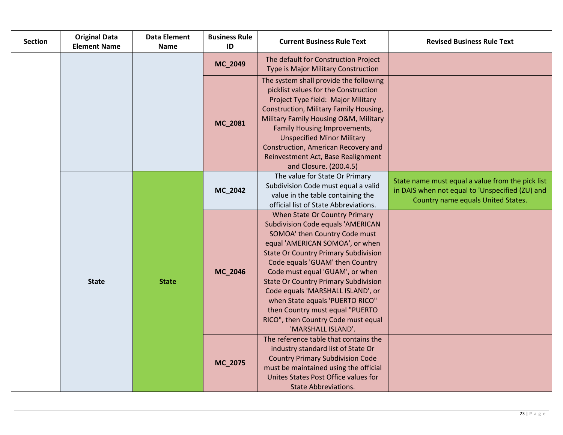| <b>Section</b> | <b>Original Data</b><br><b>Element Name</b> | <b>Data Element</b><br><b>Name</b> | <b>Business Rule</b><br>ID | <b>Current Business Rule Text</b>                                                                                                                                                                                                                                                                                                                                                                                                                                                         | <b>Revised Business Rule Text</b>                                                                                                         |
|----------------|---------------------------------------------|------------------------------------|----------------------------|-------------------------------------------------------------------------------------------------------------------------------------------------------------------------------------------------------------------------------------------------------------------------------------------------------------------------------------------------------------------------------------------------------------------------------------------------------------------------------------------|-------------------------------------------------------------------------------------------------------------------------------------------|
|                |                                             |                                    | MC_2049                    | The default for Construction Project<br>Type is Major Military Construction                                                                                                                                                                                                                                                                                                                                                                                                               |                                                                                                                                           |
|                |                                             |                                    | MC_2081                    | The system shall provide the following<br>picklist values for the Construction<br>Project Type field: Major Military<br>Construction, Military Family Housing,<br>Military Family Housing O&M, Military<br>Family Housing Improvements,<br><b>Unspecified Minor Military</b><br>Construction, American Recovery and<br>Reinvestment Act, Base Realignment<br>and Closure. (200.4.5)                                                                                                       |                                                                                                                                           |
|                | <b>State</b>                                | <b>State</b>                       | MC_2042                    | The value for State Or Primary<br>Subdivision Code must equal a valid<br>value in the table containing the<br>official list of State Abbreviations.                                                                                                                                                                                                                                                                                                                                       | State name must equal a value from the pick list<br>in DAIS when not equal to 'Unspecified (ZU) and<br>Country name equals United States. |
|                |                                             |                                    | MC_2046                    | When State Or Country Primary<br><b>Subdivision Code equals 'AMERICAN</b><br>SOMOA' then Country Code must<br>equal 'AMERICAN SOMOA', or when<br><b>State Or Country Primary Subdivision</b><br>Code equals 'GUAM' then Country<br>Code must equal 'GUAM', or when<br><b>State Or Country Primary Subdivision</b><br>Code equals 'MARSHALL ISLAND', or<br>when State equals 'PUERTO RICO"<br>then Country must equal "PUERTO<br>RICO", then Country Code must equal<br>'MARSHALL ISLAND'. |                                                                                                                                           |
|                |                                             |                                    | MC_2075                    | The reference table that contains the<br>industry standard list of State Or<br><b>Country Primary Subdivision Code</b><br>must be maintained using the official<br>Unites States Post Office values for<br><b>State Abbreviations.</b>                                                                                                                                                                                                                                                    |                                                                                                                                           |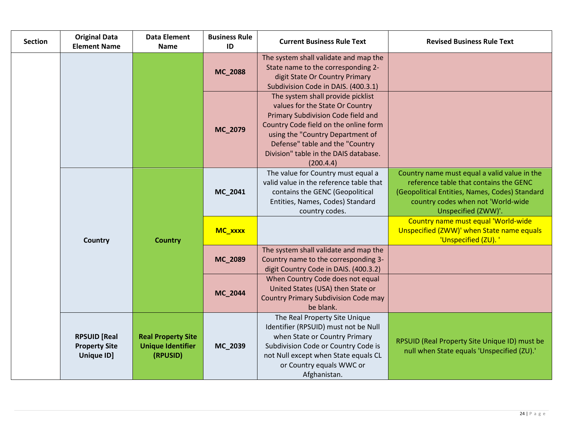| <b>Section</b> | <b>Original Data</b><br><b>Element Name</b>               | <b>Data Element</b><br><b>Name</b>                                | <b>Business Rule</b><br>ID | <b>Current Business Rule Text</b>                                                                                                                                                                                                                                                | <b>Revised Business Rule Text</b>                                                                                                                                                                     |
|----------------|-----------------------------------------------------------|-------------------------------------------------------------------|----------------------------|----------------------------------------------------------------------------------------------------------------------------------------------------------------------------------------------------------------------------------------------------------------------------------|-------------------------------------------------------------------------------------------------------------------------------------------------------------------------------------------------------|
|                |                                                           |                                                                   | MC_2088                    | The system shall validate and map the<br>State name to the corresponding 2-<br>digit State Or Country Primary<br>Subdivision Code in DAIS. (400.3.1)                                                                                                                             |                                                                                                                                                                                                       |
|                |                                                           |                                                                   | MC_2079                    | The system shall provide picklist<br>values for the State Or Country<br>Primary Subdivision Code field and<br>Country Code field on the online form<br>using the "Country Department of<br>Defense" table and the "Country<br>Division" table in the DAIS database.<br>(200.4.4) |                                                                                                                                                                                                       |
|                | Country                                                   | <b>Country</b>                                                    | MC_2041                    | The value for Country must equal a<br>valid value in the reference table that<br>contains the GENC (Geopolitical<br>Entities, Names, Codes) Standard<br>country codes.                                                                                                           | Country name must equal a valid value in the<br>reference table that contains the GENC<br>(Geopolitical Entities, Names, Codes) Standard<br>country codes when not 'World-wide<br>Unspecified (ZWW)'. |
|                |                                                           |                                                                   | MC_xxxx                    |                                                                                                                                                                                                                                                                                  | Country name must equal 'World-wide<br>Unspecified (ZWW)' when State name equals<br>'Unspecified (ZU).'                                                                                               |
|                |                                                           |                                                                   | MC_2089                    | The system shall validate and map the<br>Country name to the corresponding 3-<br>digit Country Code in DAIS. (400.3.2)                                                                                                                                                           |                                                                                                                                                                                                       |
|                |                                                           |                                                                   | MC_2044                    | When Country Code does not equal<br>United States (USA) then State or<br><b>Country Primary Subdivision Code may</b><br>be blank.                                                                                                                                                |                                                                                                                                                                                                       |
|                | <b>RPSUID [Real</b><br><b>Property Site</b><br>Unique ID] | <b>Real Property Site</b><br><b>Unique Identifier</b><br>(RPUSID) | MC_2039                    | The Real Property Site Unique<br>Identifier (RPSUID) must not be Null<br>when State or Country Primary<br>Subdivision Code or Country Code is<br>not Null except when State equals CL<br>or Country equals WWC or<br>Afghanistan.                                                | RPSUID (Real Property Site Unique ID) must be<br>null when State equals 'Unspecified (ZU).'                                                                                                           |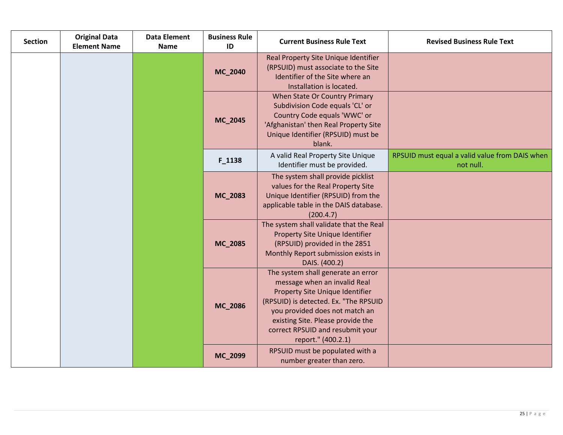| <b>Section</b> | <b>Original Data</b><br><b>Element Name</b> | <b>Data Element</b><br><b>Name</b> | <b>Business Rule</b><br>ID | <b>Current Business Rule Text</b>                                                                                                                                                                                                                                               | <b>Revised Business Rule Text</b>                           |
|----------------|---------------------------------------------|------------------------------------|----------------------------|---------------------------------------------------------------------------------------------------------------------------------------------------------------------------------------------------------------------------------------------------------------------------------|-------------------------------------------------------------|
|                |                                             |                                    | MC_2040                    | Real Property Site Unique Identifier<br>(RPSUID) must associate to the Site<br>Identifier of the Site where an<br>Installation is located.                                                                                                                                      |                                                             |
|                |                                             |                                    | MC_2045                    | When State Or Country Primary<br>Subdivision Code equals 'CL' or<br>Country Code equals 'WWC' or<br>'Afghanistan' then Real Property Site<br>Unique Identifier (RPSUID) must be<br>blank.                                                                                       |                                                             |
|                |                                             |                                    | F_1138                     | A valid Real Property Site Unique<br>Identifier must be provided.                                                                                                                                                                                                               | RPSUID must equal a valid value from DAIS when<br>not null. |
|                |                                             |                                    | MC_2083                    | The system shall provide picklist<br>values for the Real Property Site<br>Unique Identifier (RPSUID) from the<br>applicable table in the DAIS database.<br>(200.4.7)                                                                                                            |                                                             |
|                |                                             |                                    | MC_2085                    | The system shall validate that the Real<br>Property Site Unique Identifier<br>(RPSUID) provided in the 2851<br>Monthly Report submission exists in<br>DAIS. (400.2)                                                                                                             |                                                             |
|                |                                             |                                    | MC_2086                    | The system shall generate an error<br>message when an invalid Real<br>Property Site Unique Identifier<br>(RPSUID) is detected. Ex. "The RPSUID<br>you provided does not match an<br>existing Site. Please provide the<br>correct RPSUID and resubmit your<br>report." (400.2.1) |                                                             |
|                |                                             |                                    | MC_2099                    | RPSUID must be populated with a<br>number greater than zero.                                                                                                                                                                                                                    |                                                             |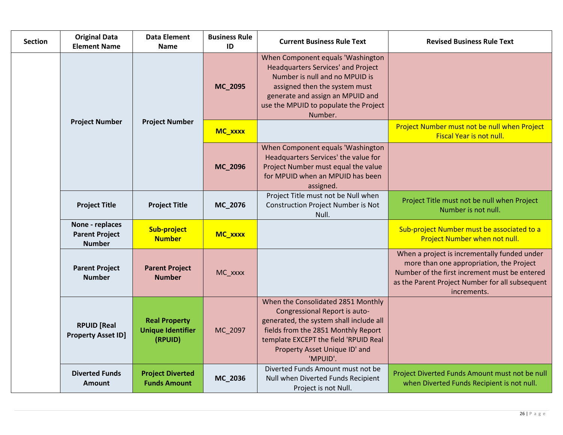| <b>Section</b> | <b>Original Data</b><br><b>Element Name</b>               | <b>Data Element</b><br><b>Name</b>                          | <b>Business Rule</b><br>ID | <b>Current Business Rule Text</b>                                                                                                                                                                                                           | <b>Revised Business Rule Text</b>                                                                                                                                                                           |
|----------------|-----------------------------------------------------------|-------------------------------------------------------------|----------------------------|---------------------------------------------------------------------------------------------------------------------------------------------------------------------------------------------------------------------------------------------|-------------------------------------------------------------------------------------------------------------------------------------------------------------------------------------------------------------|
|                |                                                           |                                                             | MC_2095                    | When Component equals 'Washington<br><b>Headquarters Services' and Project</b><br>Number is null and no MPUID is<br>assigned then the system must<br>generate and assign an MPUID and<br>use the MPUID to populate the Project<br>Number.   |                                                                                                                                                                                                             |
|                | <b>Project Number</b>                                     | <b>Project Number</b>                                       | MC_xxxx                    |                                                                                                                                                                                                                                             | Project Number must not be null when Project<br><b>Fiscal Year is not null.</b>                                                                                                                             |
|                |                                                           |                                                             | MC_2096                    | When Component equals 'Washington<br>Headquarters Services' the value for<br>Project Number must equal the value<br>for MPUID when an MPUID has been<br>assigned.                                                                           |                                                                                                                                                                                                             |
|                | <b>Project Title</b>                                      | <b>Project Title</b>                                        | MC_2076                    | Project Title must not be Null when<br><b>Construction Project Number is Not</b><br>Null.                                                                                                                                                   | Project Title must not be null when Project<br>Number is not null.                                                                                                                                          |
|                | None - replaces<br><b>Parent Project</b><br><b>Number</b> | Sub-project<br><b>Number</b>                                | MC_xxxx                    |                                                                                                                                                                                                                                             | Sub-project Number must be associated to a<br>Project Number when not null.                                                                                                                                 |
|                | <b>Parent Project</b><br><b>Number</b>                    | <b>Parent Project</b><br><b>Number</b>                      | MC_xxxx                    |                                                                                                                                                                                                                                             | When a project is incrementally funded under<br>more than one appropriation, the Project<br>Number of the first increment must be entered<br>as the Parent Project Number for all subsequent<br>increments. |
|                | <b>RPUID [Real</b><br><b>Property Asset ID]</b>           | <b>Real Property</b><br><b>Unique Identifier</b><br>(RPUID) | MC_2097                    | When the Consolidated 2851 Monthly<br>Congressional Report is auto-<br>generated, the system shall include all<br>fields from the 2851 Monthly Report<br>template EXCEPT the field 'RPUID Real<br>Property Asset Unique ID' and<br>'MPUID'. |                                                                                                                                                                                                             |
|                | <b>Diverted Funds</b><br>Amount                           | <b>Project Diverted</b><br><b>Funds Amount</b>              | MC_2036                    | Diverted Funds Amount must not be<br>Null when Diverted Funds Recipient<br>Project is not Null.                                                                                                                                             | Project Diverted Funds Amount must not be null<br>when Diverted Funds Recipient is not null.                                                                                                                |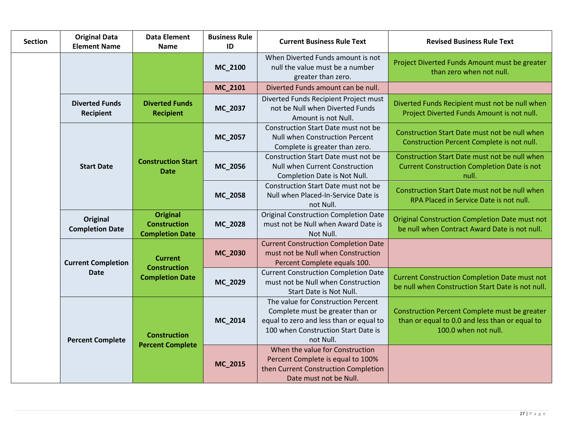| <b>Section</b> | <b>Original Data</b><br><b>Element Name</b> | <b>Data Element</b><br><b>Name</b>                               | <b>Business Rule</b><br>ID | <b>Current Business Rule Text</b>                                                                                                                                     | <b>Revised Business Rule Text</b>                                                                                       |
|----------------|---------------------------------------------|------------------------------------------------------------------|----------------------------|-----------------------------------------------------------------------------------------------------------------------------------------------------------------------|-------------------------------------------------------------------------------------------------------------------------|
|                |                                             |                                                                  | MC_2100                    | When Diverted Funds amount is not<br>null the value must be a number<br>greater than zero.                                                                            | Project Diverted Funds Amount must be greater<br>than zero when not null.                                               |
|                |                                             |                                                                  | MC_2101                    | Diverted Funds amount can be null.                                                                                                                                    |                                                                                                                         |
|                | <b>Diverted Funds</b><br><b>Recipient</b>   | <b>Diverted Funds</b><br><b>Recipient</b>                        | MC_2037                    | Diverted Funds Recipient Project must<br>not be Null when Diverted Funds<br>Amount is not Null.                                                                       | Diverted Funds Recipient must not be null when<br>Project Diverted Funds Amount is not null.                            |
|                |                                             | <b>Construction Start</b><br><b>Date</b>                         | MC_2057                    | Construction Start Date must not be<br><b>Null when Construction Percent</b><br>Complete is greater than zero.                                                        | Construction Start Date must not be null when<br>Construction Percent Complete is not null.                             |
|                | <b>Start Date</b>                           |                                                                  | MC_2056                    | Construction Start Date must not be<br><b>Null when Current Construction</b><br>Completion Date is Not Null.                                                          | Construction Start Date must not be null when<br><b>Current Construction Completion Date is not</b><br>null.            |
|                |                                             |                                                                  | MC_2058                    | Construction Start Date must not be<br>Null when Placed-In-Service Date is<br>not Null.                                                                               | Construction Start Date must not be null when<br>RPA Placed in Service Date is not null.                                |
|                | Original<br><b>Completion Date</b>          | <b>Original</b><br><b>Construction</b><br><b>Completion Date</b> | MC_2028                    | <b>Original Construction Completion Date</b><br>must not be Null when Award Date is<br>Not Null.                                                                      | <b>Original Construction Completion Date must not</b><br>be null when Contract Award Date is not null.                  |
|                | <b>Current Completion</b>                   | <b>Current</b><br><b>Construction</b>                            | MC_2030                    | <b>Current Construction Completion Date</b><br>must not be Null when Construction<br>Percent Complete equals 100.                                                     |                                                                                                                         |
|                | <b>Date</b>                                 | <b>Completion Date</b>                                           | MC_2029                    | <b>Current Construction Completion Date</b><br>must not be Null when Construction<br>Start Date is Not Null.                                                          | <b>Current Construction Completion Date must not</b><br>be null when Construction Start Date is not null.               |
|                | <b>Percent Complete</b>                     | <b>Construction</b>                                              | MC_2014                    | The value for Construction Percent<br>Complete must be greater than or<br>equal to zero and less than or equal to<br>100 when Construction Start Date is<br>not Null. | Construction Percent Complete must be greater<br>than or equal to 0.0 and less than or equal to<br>100.0 when not null. |
|                |                                             | <b>Percent Complete</b>                                          | MC_2015                    | When the value for Construction<br>Percent Complete is equal to 100%<br>then Current Construction Completion<br>Date must not be Null.                                |                                                                                                                         |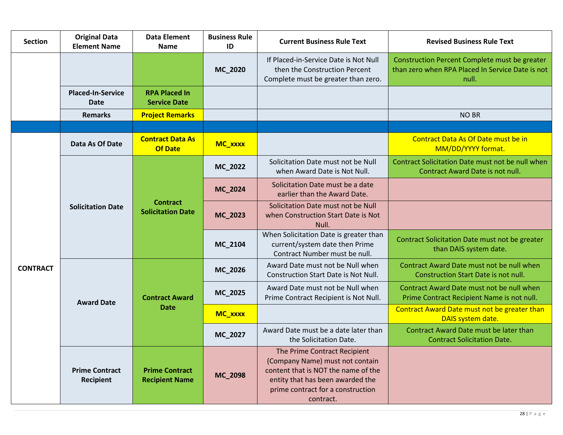| <b>Section</b>  | <b>Original Data</b><br><b>Element Name</b> | <b>Data Element</b><br><b>Name</b>             | <b>Business Rule</b><br>ID | <b>Current Business Rule Text</b>                                                                                                                                                            | <b>Revised Business Rule Text</b>                                                                                                                                                                                                                                                                                                                                                                             |
|-----------------|---------------------------------------------|------------------------------------------------|----------------------------|----------------------------------------------------------------------------------------------------------------------------------------------------------------------------------------------|---------------------------------------------------------------------------------------------------------------------------------------------------------------------------------------------------------------------------------------------------------------------------------------------------------------------------------------------------------------------------------------------------------------|
|                 |                                             |                                                | MC_2020                    | If Placed-in-Service Date is Not Null<br>then the Construction Percent<br>Complete must be greater than zero.                                                                                | Construction Percent Complete must be greater<br>than zero when RPA Placed In Service Date is not<br>null.                                                                                                                                                                                                                                                                                                    |
|                 | <b>Placed-In-Service</b><br><b>Date</b>     | <b>RPA Placed In</b><br><b>Service Date</b>    |                            |                                                                                                                                                                                              |                                                                                                                                                                                                                                                                                                                                                                                                               |
|                 | <b>Remarks</b>                              | <b>Project Remarks</b>                         |                            |                                                                                                                                                                                              | <b>NO BR</b>                                                                                                                                                                                                                                                                                                                                                                                                  |
|                 |                                             |                                                |                            |                                                                                                                                                                                              |                                                                                                                                                                                                                                                                                                                                                                                                               |
|                 | Data As Of Date                             | <b>Contract Data As</b><br><b>Of Date</b>      | MC_xxxx                    |                                                                                                                                                                                              | Contract Data As Of Date must be in<br>MM/DD/YYYY format.                                                                                                                                                                                                                                                                                                                                                     |
|                 |                                             |                                                | MC_2022                    | Solicitation Date must not be Null<br>when Award Date is Not Null.                                                                                                                           | Contract Solicitation Date must not be null when<br>Contract Award Date is not null.                                                                                                                                                                                                                                                                                                                          |
|                 |                                             |                                                | MC_2024                    | Solicitation Date must be a date<br>earlier than the Award Date.                                                                                                                             |                                                                                                                                                                                                                                                                                                                                                                                                               |
|                 | <b>Solicitation Date</b>                    | <b>Contract</b><br><b>Solicitation Date</b>    | MC_2023                    | Solicitation Date must not be Null<br>when Construction Start Date is Not<br>Null.                                                                                                           |                                                                                                                                                                                                                                                                                                                                                                                                               |
|                 |                                             |                                                | MC_2104                    | When Solicitation Date is greater than<br>current/system date then Prime<br>Contract Number must be null.                                                                                    | Contract Solicitation Date must not be greater<br>than DAIS system date.<br>Contract Award Date must not be null when<br>Construction Start Date is not null.<br>Contract Award Date must not be null when<br>Prime Contract Recipient Name is not null.<br>Contract Award Date must not be greater than<br>DAIS system date.<br>Contract Award Date must be later than<br><b>Contract Solicitation Date.</b> |
| <b>CONTRACT</b> |                                             |                                                | MC_2026                    | Award Date must not be Null when<br>Construction Start Date is Not Null.                                                                                                                     |                                                                                                                                                                                                                                                                                                                                                                                                               |
|                 | <b>Award Date</b>                           | <b>Contract Award</b>                          | MC_2025                    | Award Date must not be Null when<br>Prime Contract Recipient is Not Null.                                                                                                                    |                                                                                                                                                                                                                                                                                                                                                                                                               |
|                 |                                             | <b>Date</b>                                    | MC_xxxx                    |                                                                                                                                                                                              |                                                                                                                                                                                                                                                                                                                                                                                                               |
|                 |                                             |                                                | MC_2027                    | Award Date must be a date later than<br>the Solicitation Date.                                                                                                                               |                                                                                                                                                                                                                                                                                                                                                                                                               |
|                 | <b>Prime Contract</b><br>Recipient          | <b>Prime Contract</b><br><b>Recipient Name</b> | MC_2098                    | The Prime Contract Recipient<br>(Company Name) must not contain<br>content that is NOT the name of the<br>entity that has been awarded the<br>prime contract for a construction<br>contract. |                                                                                                                                                                                                                                                                                                                                                                                                               |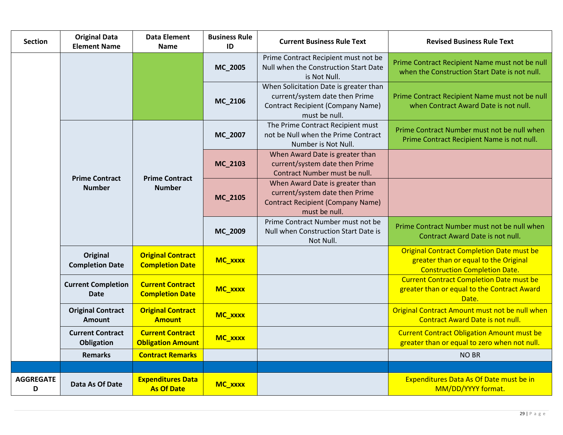| <b>Section</b>        | <b>Original Data</b><br><b>Element Name</b> | <b>Data Element</b><br><b>Name</b>                  | <b>Business Rule</b><br>ID                                                             | <b>Current Business Rule Text</b>                                                                                                     | <b>Revised Business Rule Text</b>                                                                                                 |
|-----------------------|---------------------------------------------|-----------------------------------------------------|----------------------------------------------------------------------------------------|---------------------------------------------------------------------------------------------------------------------------------------|-----------------------------------------------------------------------------------------------------------------------------------|
|                       |                                             |                                                     | MC_2005                                                                                | Prime Contract Recipient must not be<br>Null when the Construction Start Date<br>is Not Null.                                         | Prime Contract Recipient Name must not be null<br>when the Construction Start Date is not null.                                   |
|                       |                                             |                                                     | MC_2106                                                                                | When Solicitation Date is greater than<br>current/system date then Prime<br><b>Contract Recipient (Company Name)</b><br>must be null. | Prime Contract Recipient Name must not be null<br>when Contract Award Date is not null.                                           |
|                       |                                             |                                                     | MC_2007                                                                                | The Prime Contract Recipient must<br>not be Null when the Prime Contract<br>Number is Not Null.                                       | Prime Contract Number must not be null when<br>Prime Contract Recipient Name is not null.                                         |
|                       | <b>Prime Contract</b><br><b>Number</b>      | <b>Prime Contract</b>                               | MC_2103                                                                                | When Award Date is greater than<br>current/system date then Prime<br>Contract Number must be null.                                    |                                                                                                                                   |
|                       |                                             | <b>Number</b><br>MC_2105<br>MC_2009                 |                                                                                        | When Award Date is greater than<br>current/system date then Prime<br><b>Contract Recipient (Company Name)</b><br>must be null.        |                                                                                                                                   |
|                       |                                             |                                                     | Prime Contract Number must not be<br>Null when Construction Start Date is<br>Not Null. | Prime Contract Number must not be null when<br>Contract Award Date is not null.                                                       |                                                                                                                                   |
|                       | Original<br><b>Completion Date</b>          | <b>Original Contract</b><br><b>Completion Date</b>  | MC_xxxx                                                                                |                                                                                                                                       | <b>Original Contract Completion Date must be</b><br>greater than or equal to the Original<br><b>Construction Completion Date.</b> |
|                       | <b>Current Completion</b><br><b>Date</b>    | <b>Current Contract</b><br><b>Completion Date</b>   | MC_xxxx                                                                                |                                                                                                                                       | <b>Current Contract Completion Date must be</b><br>greater than or equal to the Contract Award<br>Date.                           |
|                       | <b>Original Contract</b><br>Amount          | <b>Original Contract</b><br><b>Amount</b>           | MC_xxxx                                                                                |                                                                                                                                       | Original Contract Amount must not be null when<br><b>Contract Award Date is not null.</b>                                         |
|                       | <b>Current Contract</b><br>Obligation       | <b>Current Contract</b><br><b>Obligation Amount</b> | MC_xxxx                                                                                |                                                                                                                                       | <b>Current Contract Obligation Amount must be</b><br>greater than or equal to zero when not null.                                 |
|                       | <b>Remarks</b>                              | <b>Contract Remarks</b>                             |                                                                                        |                                                                                                                                       | <b>NO BR</b>                                                                                                                      |
|                       |                                             |                                                     |                                                                                        |                                                                                                                                       |                                                                                                                                   |
| <b>AGGREGATE</b><br>D | Data As Of Date                             | <b>Expenditures Data</b><br><b>As Of Date</b>       | MC_xxxx                                                                                |                                                                                                                                       | Expenditures Data As Of Date must be in<br>MM/DD/YYYY format.                                                                     |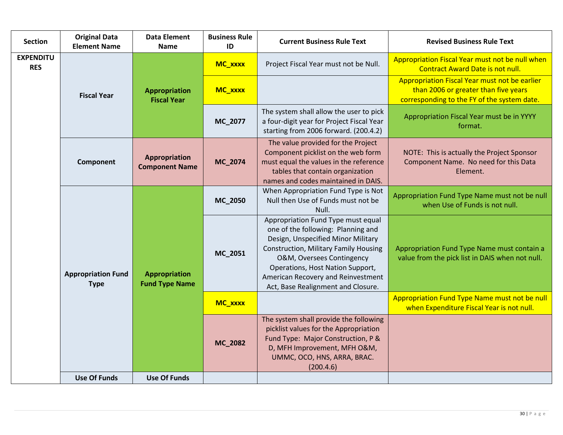| <b>Section</b>                 | <b>Original Data</b><br><b>Element Name</b> | <b>Data Element</b><br><b>Name</b>            | <b>Business Rule</b><br>ID | <b>Current Business Rule Text</b>                                                                                                                                                                                                                                                                           | <b>Revised Business Rule Text</b>                                                                                                    |
|--------------------------------|---------------------------------------------|-----------------------------------------------|----------------------------|-------------------------------------------------------------------------------------------------------------------------------------------------------------------------------------------------------------------------------------------------------------------------------------------------------------|--------------------------------------------------------------------------------------------------------------------------------------|
| <b>EXPENDITU</b><br><b>RES</b> | <b>Fiscal Year</b>                          |                                               | MC_xxxx                    | Project Fiscal Year must not be Null.                                                                                                                                                                                                                                                                       | Appropriation Fiscal Year must not be null when<br><b>Contract Award Date is not null.</b>                                           |
|                                |                                             | <b>Appropriation</b><br><b>Fiscal Year</b>    | MC_xxxx                    |                                                                                                                                                                                                                                                                                                             | Appropriation Fiscal Year must not be earlier<br>than 2006 or greater than five years<br>corresponding to the FY of the system date. |
|                                |                                             |                                               | MC_2077                    | The system shall allow the user to pick<br>a four-digit year for Project Fiscal Year<br>starting from 2006 forward. (200.4.2)                                                                                                                                                                               | Appropriation Fiscal Year must be in YYYY<br>format.                                                                                 |
|                                | Component                                   | Appropriation<br><b>Component Name</b>        | MC_2074                    | The value provided for the Project<br>Component picklist on the web form<br>must equal the values in the reference<br>tables that contain organization<br>names and codes maintained in DAIS.                                                                                                               | NOTE: This is actually the Project Sponsor<br>Component Name. No need for this Data<br>Element.                                      |
|                                |                                             |                                               | MC_2050                    | When Appropriation Fund Type is Not<br>Null then Use of Funds must not be<br>Null.                                                                                                                                                                                                                          | Appropriation Fund Type Name must not be null<br>when Use of Funds is not null.                                                      |
|                                | <b>Appropriation Fund</b><br><b>Type</b>    | <b>Appropriation</b><br><b>Fund Type Name</b> | MC_2051                    | Appropriation Fund Type must equal<br>one of the following: Planning and<br>Design, Unspecified Minor Military<br><b>Construction, Military Family Housing</b><br>O&M, Oversees Contingency<br>Operations, Host Nation Support,<br>American Recovery and Reinvestment<br>Act, Base Realignment and Closure. | Appropriation Fund Type Name must contain a<br>value from the pick list in DAIS when not null.                                       |
|                                |                                             |                                               | MC_xxxx                    |                                                                                                                                                                                                                                                                                                             | Appropriation Fund Type Name must not be null<br>when Expenditure Fiscal Year is not null.                                           |
|                                |                                             |                                               | MC_2082                    | The system shall provide the following<br>picklist values for the Appropriation<br>Fund Type: Major Construction, P &<br>D, MFH Improvement, MFH O&M,<br>UMMC, OCO, HNS, ARRA, BRAC.<br>(200.4.6)                                                                                                           |                                                                                                                                      |
|                                | <b>Use Of Funds</b>                         | <b>Use Of Funds</b>                           |                            |                                                                                                                                                                                                                                                                                                             |                                                                                                                                      |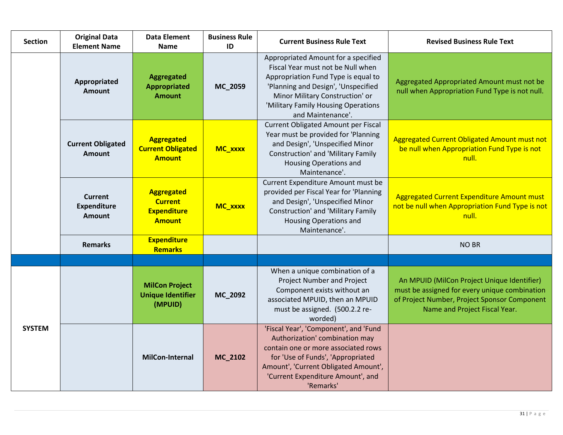| <b>Section</b> | <b>Original Data</b><br><b>Element Name</b>           | <b>Data Element</b><br><b>Name</b>                                         | <b>Business Rule</b><br>ID | <b>Current Business Rule Text</b>                                                                                                                                                                                                                     | <b>Revised Business Rule Text</b>                                                                                                                                             |
|----------------|-------------------------------------------------------|----------------------------------------------------------------------------|----------------------------|-------------------------------------------------------------------------------------------------------------------------------------------------------------------------------------------------------------------------------------------------------|-------------------------------------------------------------------------------------------------------------------------------------------------------------------------------|
|                | Appropriated<br><b>Amount</b>                         | <b>Aggregated</b><br><b>Appropriated</b><br><b>Amount</b>                  | MC_2059                    | Appropriated Amount for a specified<br>Fiscal Year must not be Null when<br>Appropriation Fund Type is equal to<br>'Planning and Design', 'Unspecified<br>Minor Military Construction' or<br>'Military Family Housing Operations<br>and Maintenance'. | Aggregated Appropriated Amount must not be<br>null when Appropriation Fund Type is not null.                                                                                  |
|                | <b>Current Obligated</b><br><b>Amount</b>             | <b>Aggregated</b><br><b>Current Obligated</b><br><b>Amount</b>             | MC_xxxx                    | Current Obligated Amount per Fiscal<br>Year must be provided for 'Planning<br>and Design', 'Unspecified Minor<br>Construction' and 'Military Family<br><b>Housing Operations and</b><br>Maintenance'.                                                 | Aggregated Current Obligated Amount must not<br>be null when Appropriation Fund Type is not<br>null.                                                                          |
|                | <b>Current</b><br><b>Expenditure</b><br><b>Amount</b> | <b>Aggregated</b><br><b>Current</b><br><b>Expenditure</b><br><b>Amount</b> | MC_xxxx                    | Current Expenditure Amount must be<br>provided per Fiscal Year for 'Planning<br>and Design', 'Unspecified Minor<br>Construction' and 'Military Family<br><b>Housing Operations and</b><br>Maintenance'.                                               | Aggregated Current Expenditure Amount must<br>not be null when Appropriation Fund Type is not<br>null.                                                                        |
|                | <b>Remarks</b>                                        | <b>Expenditure</b><br><b>Remarks</b>                                       |                            |                                                                                                                                                                                                                                                       | <b>NO BR</b>                                                                                                                                                                  |
|                |                                                       |                                                                            |                            |                                                                                                                                                                                                                                                       |                                                                                                                                                                               |
| <b>SYSTEM</b>  |                                                       | <b>MilCon Project</b><br><b>Unique Identifier</b><br>(MPUID)               | MC_2092                    | When a unique combination of a<br>Project Number and Project<br>Component exists without an<br>associated MPUID, then an MPUID<br>must be assigned. (500.2.2 re-<br>worded)                                                                           | An MPUID (MilCon Project Unique Identifier)<br>must be assigned for every unique combination<br>of Project Number, Project Sponsor Component<br>Name and Project Fiscal Year. |
|                |                                                       | MilCon-Internal                                                            | MC_2102                    | 'Fiscal Year', 'Component', and 'Fund<br>Authorization' combination may<br>contain one or more associated rows<br>for 'Use of Funds', 'Appropriated<br>Amount', 'Current Obligated Amount',<br>'Current Expenditure Amount', and<br>'Remarks'         |                                                                                                                                                                               |